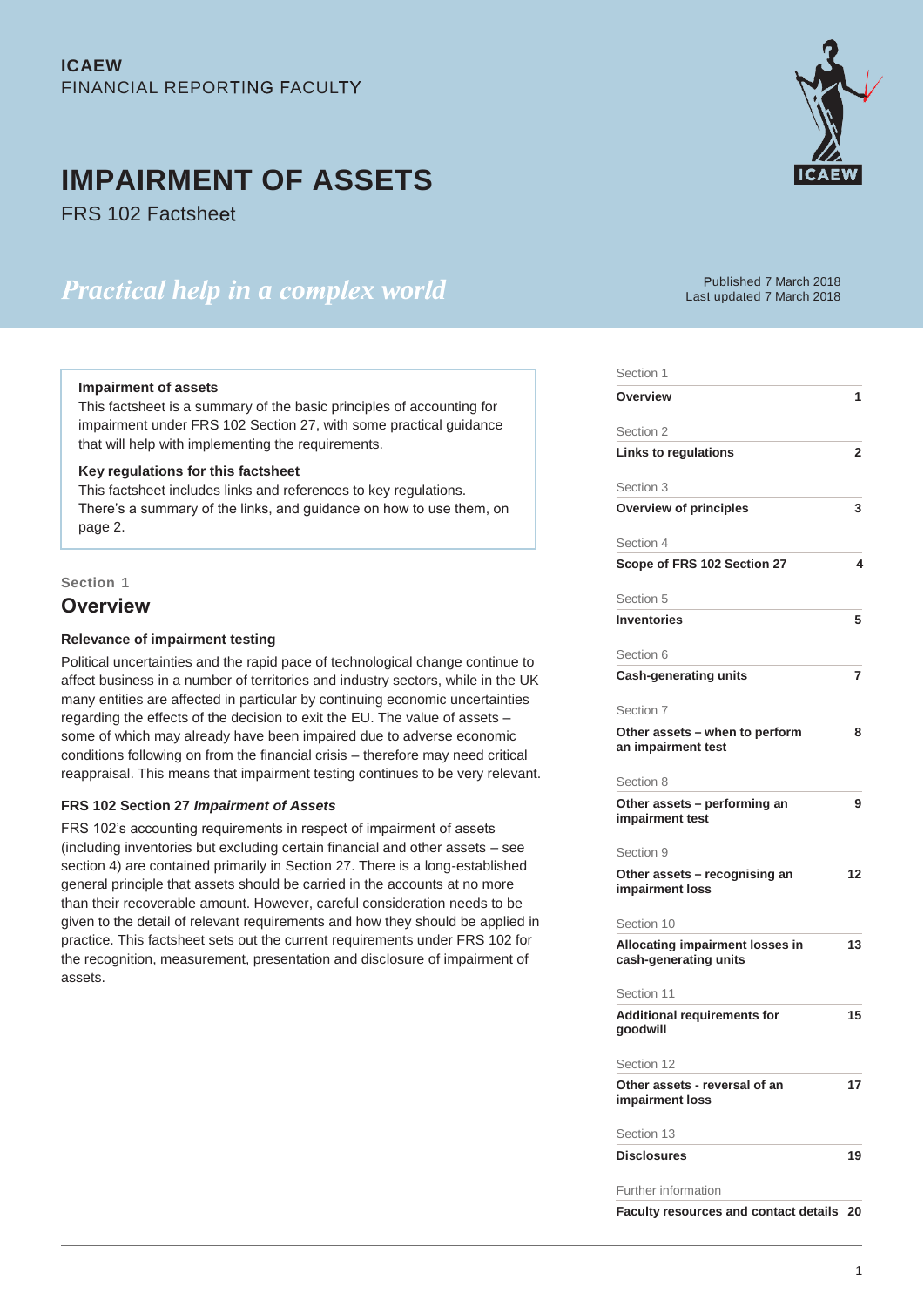# **IMPAIRMENT OF ASSETS**

**FRS 102 Factsheet** 

# *<u>Practical help in a complex world</u>*



ublished 7 March 2018 Last updated 7 March 2018

Section 1

### **Impairment of assets**

This factsheet is a summary of the basic principles of accounting for impairment under FRS 102 Section 27, with some practical guidance that will help with implementing the requirements.

# **Key regulations for this factsheet**

This factsheet includes links and references to key regulations. There's a summary of the links, and guidance on how to use them, on page 2.

### **Section 1**

# **Overview**

### **Relevance of impairment testing**

Political uncertainties and the rapid pace of technological change continue to affect business in a number of territories and industry sectors, while in the UK many entities are affected in particular by continuing economic uncertainties regarding the effects of the decision to exit the EU. The value of assets – some of which may already have been impaired due to adverse economic conditions following on from the financial crisis – therefore may need critical reappraisal. This means that impairment testing continues to be very relevant.

# **FRS 102 Section 27** *Impairment of Assets*

FRS 102's accounting requirements in respect of impairment of assets (including inventories but excluding certain financial and other assets – see section 4) are contained primarily in Section 27. There is a long-established general principle that assets should be carried in the accounts at no more than their recoverable amount. However, careful consideration needs to be given to the detail of relevant requirements and how they should be applied in practice. This factsheet sets out the current requirements under FRS 102 for the recognition, measurement, presentation and disclosure of impairment of assets.

| ∪ecuo⊓                                                          |    |
|-----------------------------------------------------------------|----|
| Overview                                                        | 1  |
| Section 2                                                       |    |
| Links to regulations                                            | 2  |
| Section 3                                                       |    |
| <b>Overview of principles</b>                                   | 3  |
| Section 4                                                       |    |
| Scope of FRS 102 Section 27                                     | 4  |
| Section 5                                                       |    |
| <b>Inventories</b>                                              | 5  |
| Section 6                                                       |    |
| Cash-generating units                                           | 7  |
| Section 7                                                       |    |
| Other assets - when to perform<br>an impairment test            | 8  |
| Section 8                                                       |    |
| Other assets – performing an<br>impairment test                 | 9  |
| Section 9                                                       |    |
| Other assets - recognising an<br>impairment loss                | 12 |
| Section 10                                                      |    |
| <b>Allocating impairment losses in</b><br>cash-generating units | 13 |
| Section 11                                                      |    |
| <b>Additional requirements for</b><br>goodwill                  | 15 |
| Section 12                                                      |    |
| Other assets - reversal of an<br>impairment loss                | 17 |
| Section 13                                                      |    |
| <b>Disclosures</b>                                              | 19 |
| Further information                                             |    |
| Faculty resources and contact details 20                        |    |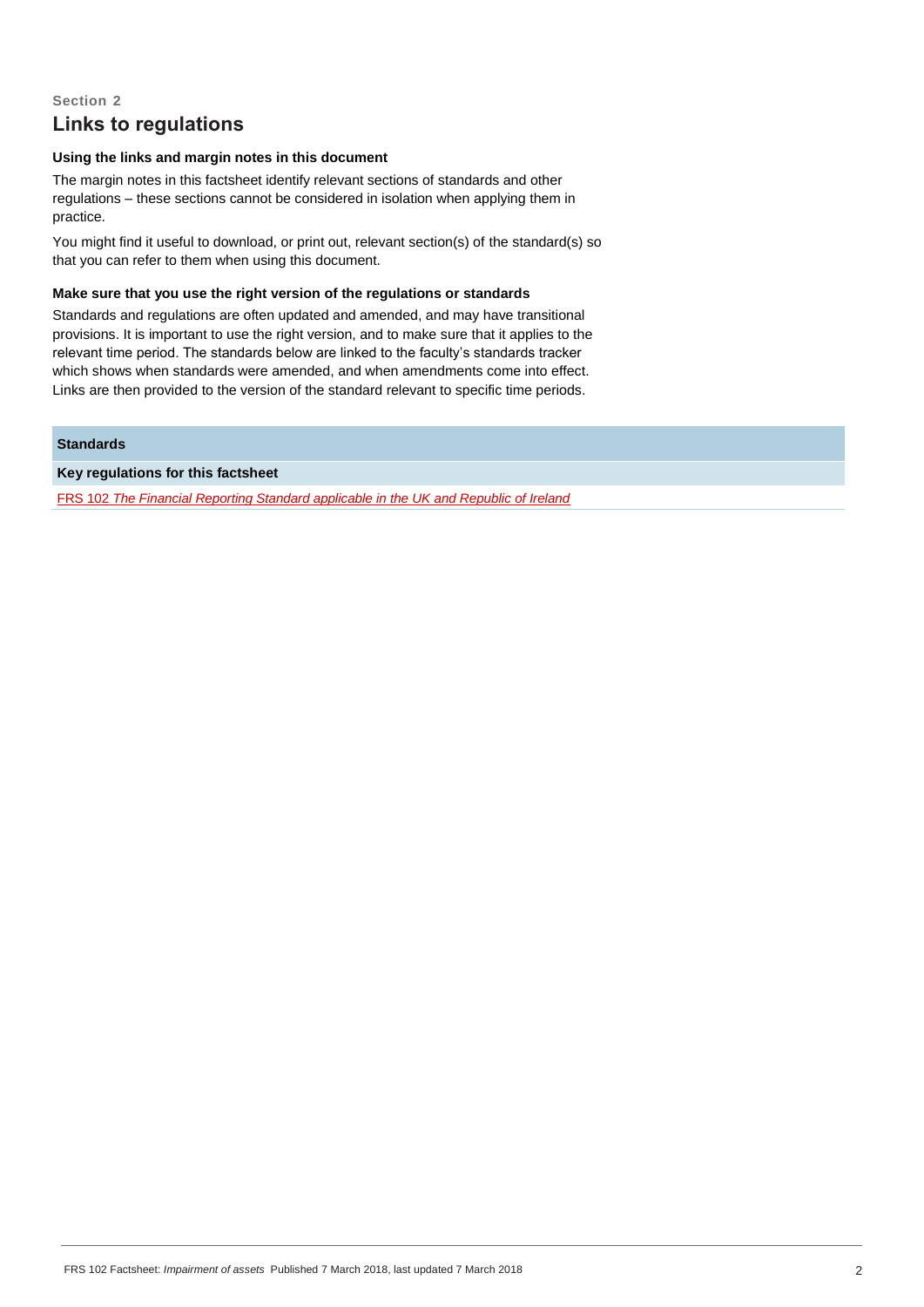# **Section 2 Links to regulations**

# **Using the links and margin notes in this document**

The margin notes in this factsheet identify relevant sections of standards and other regulations – these sections cannot be considered in isolation when applying them in practice.

You might find it useful to download, or print out, relevant section(s) of the standard(s) so that you can refer to them when using this document.

#### **Make sure that you use the right version of the regulations or standards**

Standards and regulations are often updated and amended, and may have transitional provisions. It is important to use the right version, and to make sure that it applies to the relevant time period. The standards below are linked to the faculty's standards tracker which shows when standards were amended, and when amendments come into effect. Links are then provided to the version of the standard relevant to specific time periods.

# **Standards**

**Key regulations for this factsheet**

FRS 102 *[The Financial Reporting Standard applicable in the UK and Republic of Ireland](http://www.icaew.com/en/technical/financial-reporting/new-uk-gaap/frs-102-the-financial-reporting-standard)*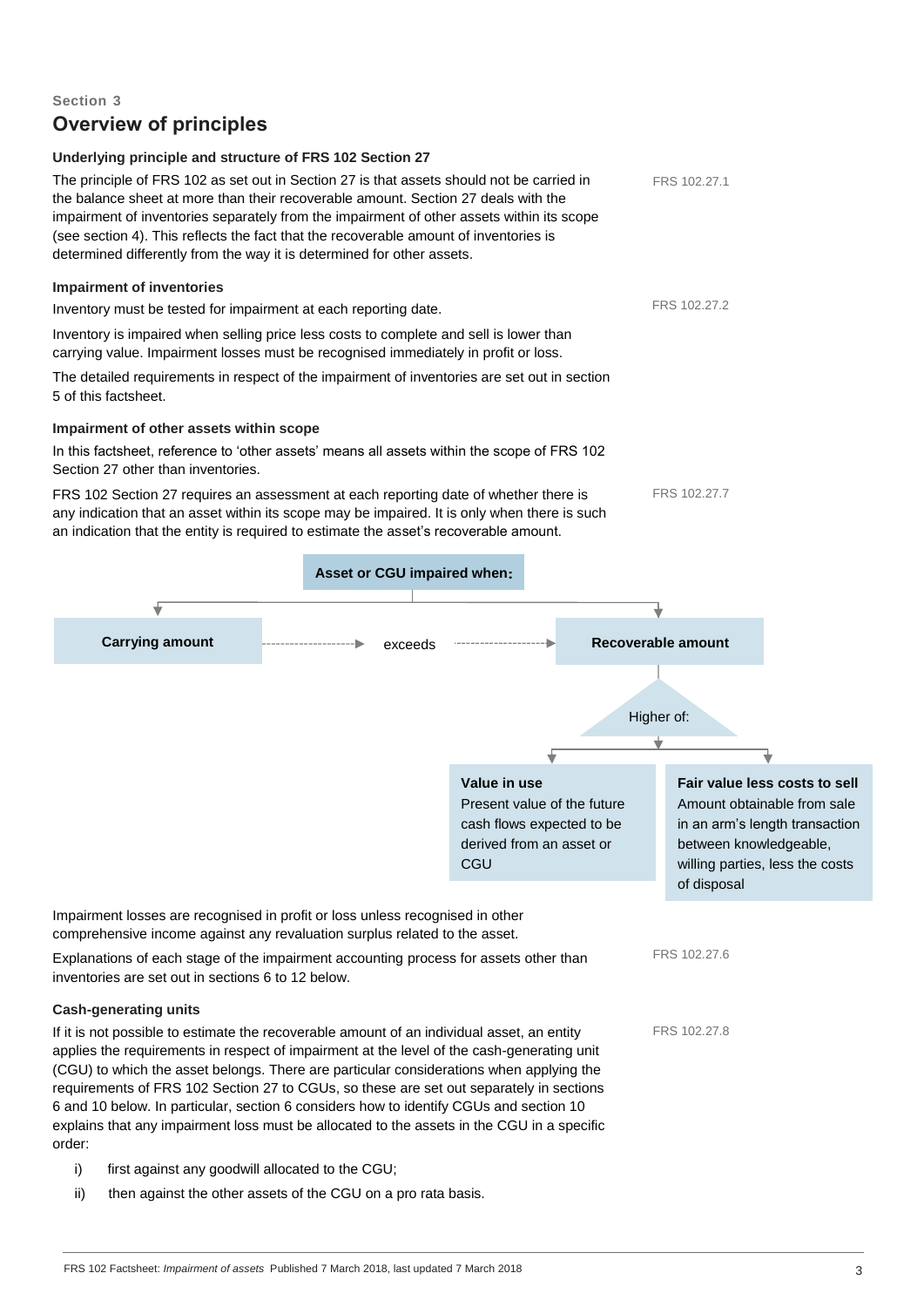# **Overview of principles Underlying principle and structure of FRS 102 Section 27** The principle of FRS 102 as set out in Section 27 is that assets should not be carried in the balance sheet at more than their recoverable amount. Section 27 deals with the impairment of inventories separately from the impairment of other assets within its scope (see section 4). This reflects the fact that the recoverable amount of inventories is determined differently from the way it is determined for other assets. **Impairment of inventories** Inventory must be tested for impairment at each reporting date. Inventory is impaired when selling price less costs to complete and sell is lower than carrying value. Impairment losses must be recognised immediately in profit or loss. The detailed requirements in respect of the impairment of inventories are set out in section 5 of this factsheet. **Impairment of other assets within scope** In this factsheet, reference to 'other assets' means all assets within the scope of FRS 102 Section 27 other than inventories. FRS 102 Section 27 requires an assessment at each reporting date of whether there is any indication that an asset within its scope may be impaired. It is only when there is such an indication that the entity is required to estimate the asset's recoverable amount. Impairment losses are recognised in profit or loss unless recognised in other comprehensive income against any revaluation surplus related to the asset. Explanations of each stage of the impairment accounting process for assets other than inventories are set out in sections 6 to 12 below. **Cash-generating units**  If it is not possible to estimate the recoverable amount of an individual asset, an entity applies the requirements in respect of impairment at the level of the cash-generating unit (CGU) to which the asset belongs. There are particular considerations when applying the requirements of FRS 102 Section 27 to CGUs, so these are set out separately in sections 6 and 10 below. In particular, section 6 considers how to identify CGUs and section 10 **Asset or CGU impaired when Carrying amount Recoverable amount Recoverable amount Recoverable amount** Higher of: **Value in use** Present value of the future cash flows expected to be derived from an asset or **CGU Fair value less costs to sell** Amount obtainable from sale in an arm's length transaction between knowledgeable, willing parties, less the costs of disposal exceeds FRS 102.27.2 FRS 102.27.7 FRS 102.27.1 FRS 102.27.6 FRS 102.27.8

i) first against any goodwill allocated to the CGU;

order:

**Section 3**

ii) then against the other assets of the CGU on a pro rata basis.

explains that any impairment loss must be allocated to the assets in the CGU in a specific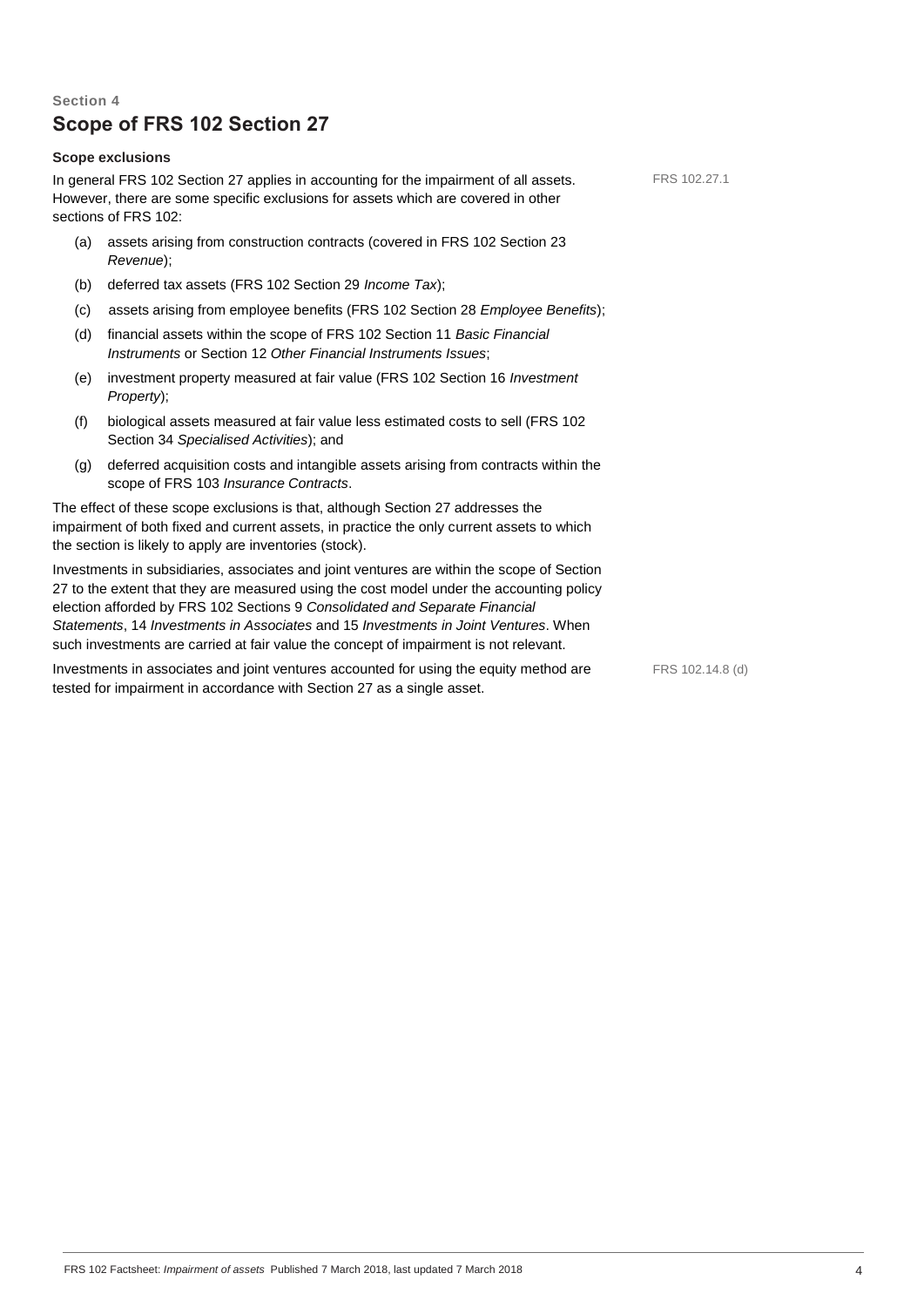# **Section 4 Scope of FRS 102 Section 27**

# **Scope exclusions**

In general FRS 102 Section 27 applies in accounting for the impairment of all assets. However, there are some specific exclusions for assets which are covered in other sections of FRS 102:

- (a) assets arising from construction contracts (covered in FRS 102 Section 23 *Revenue*);
- (b) deferred tax assets (FRS 102 Section 29 *Income Tax*);
- (c) assets arising from employee benefits (FRS 102 Section 28 *Employee Benefits*);
- (d) financial assets within the scope of FRS 102 Section 11 *Basic Financial Instruments* or Section 12 *Other Financial Instruments Issues*;
- (e) investment property measured at fair value (FRS 102 Section 16 *Investment Property*);
- (f) biological assets measured at fair value less estimated costs to sell (FRS 102 Section 34 *Specialised Activities*); and
- (g) deferred acquisition costs and intangible assets arising from contracts within the scope of FRS 103 *Insurance Contracts*.

The effect of these scope exclusions is that, although Section 27 addresses the impairment of both fixed and current assets, in practice the only current assets to which the section is likely to apply are inventories (stock).

Investments in subsidiaries, associates and joint ventures are within the scope of Section 27 to the extent that they are measured using the cost model under the accounting policy election afforded by FRS 102 Sections 9 *Consolidated and Separate Financial Statements*, 14 *Investments in Associates* and 15 *Investments in Joint Ventures*. When such investments are carried at fair value the concept of impairment is not relevant.

Investments in associates and joint ventures accounted for using the equity method are tested for impairment in accordance with Section 27 as a single asset.

FRS 102.14.8 (d)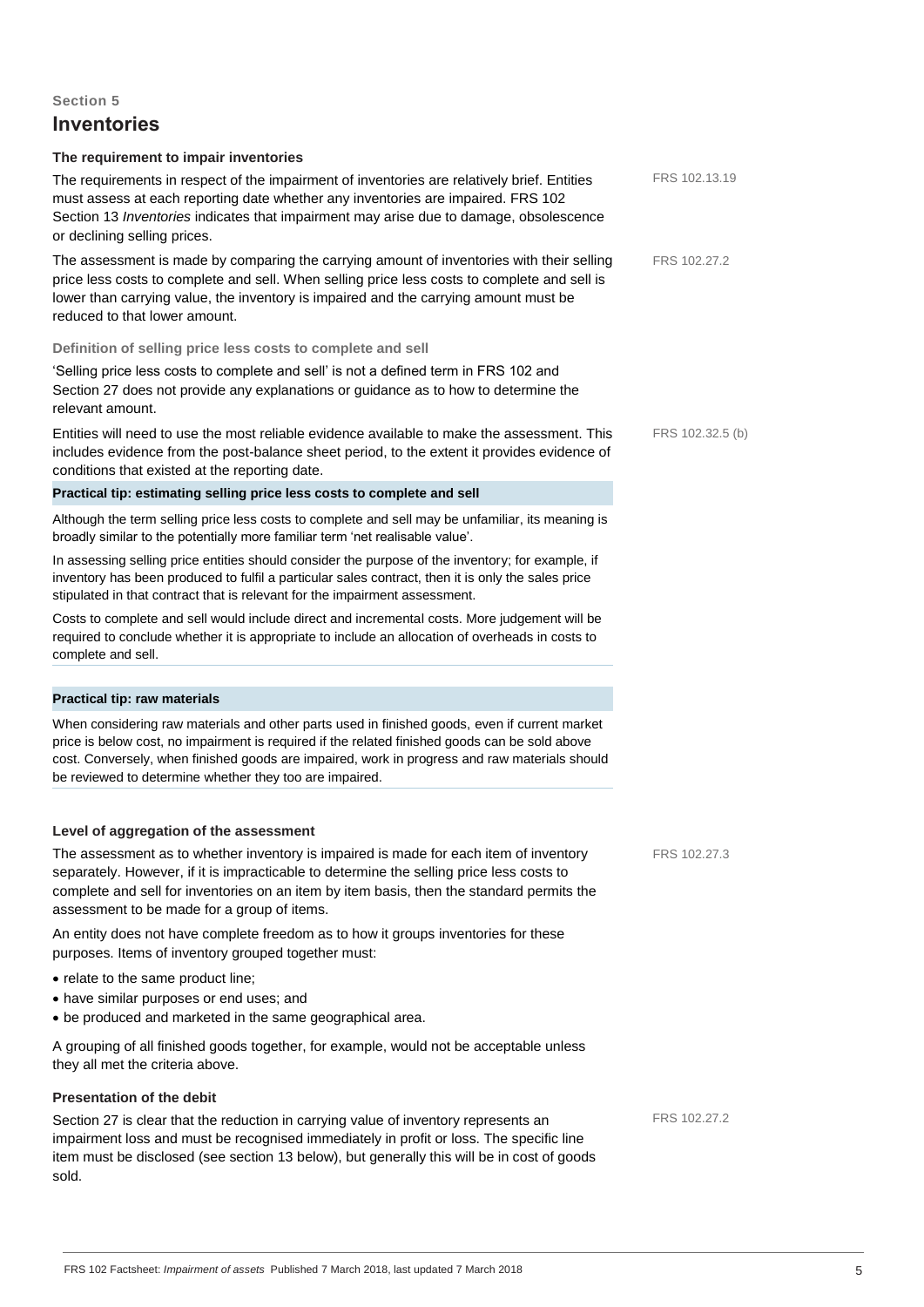# **Inventories**

#### **The requirement to impair inventories**

must assess at each reporting date whether any inventories are impaired. FRS 102 Section 13 *Inventories* indicates that impairment may arise due to damage, obsolescence or declining selling prices. The assessment is made by comparing the carrying amount of inventories with their selling price less costs to complete and sell. When selling price less costs to complete and sell is lower than carrying value, the inventory is impaired and the carrying amount must be reduced to that lower amount. **Definition of selling price less costs to complete and sell** 'Selling price less costs to complete and sell' is not a defined term in FRS 102 and Section 27 does not provide any explanations or guidance as to how to determine the relevant amount. Entities will need to use the most reliable evidence available to make the assessment. This includes evidence from the post-balance sheet period, to the extent it provides evidence of conditions that existed at the reporting date. **Practical tip: estimating selling price less costs to complete and sell**  Although the term selling price less costs to complete and sell may be unfamiliar, its meaning is broadly similar to the potentially more familiar term 'net realisable value'. FRS 102.27.2

In assessing selling price entities should consider the purpose of the inventory; for example, if inventory has been produced to fulfil a particular sales contract, then it is only the sales price stipulated in that contract that is relevant for the impairment assessment.

The requirements in respect of the impairment of inventories are relatively brief. Entities

Costs to complete and sell would include direct and incremental costs. More judgement will be required to conclude whether it is appropriate to include an allocation of overheads in costs to complete and sell.

#### **Practical tip: raw materials**

When considering raw materials and other parts used in finished goods, even if current market price is below cost, no impairment is required if the related finished goods can be sold above cost. Conversely, when finished goods are impaired, work in progress and raw materials should be reviewed to determine whether they too are impaired.

#### **Level of aggregation of the assessment**

The assessment as to whether inventory is impaired is made for each item of inventory separately. However, if it is impracticable to determine the selling price less costs to complete and sell for inventories on an item by item basis, then the standard permits the assessment to be made for a group of items.

An entity does not have complete freedom as to how it groups inventories for these purposes. Items of inventory grouped together must:

- relate to the same product line;
- have similar purposes or end uses; and
- be produced and marketed in the same geographical area.

A grouping of all finished goods together, for example, would not be acceptable unless they all met the criteria above.

### **Presentation of the debit**

Section 27 is clear that the reduction in carrying value of inventory represents an impairment loss and must be recognised immediately in profit or loss. The specific line item must be disclosed (see section 13 below), but generally this will be in cost of goods sold.

FRS 102.27.2

FRS 102.27.3

FRS 102.32.5 (b)

FRS 102.13.19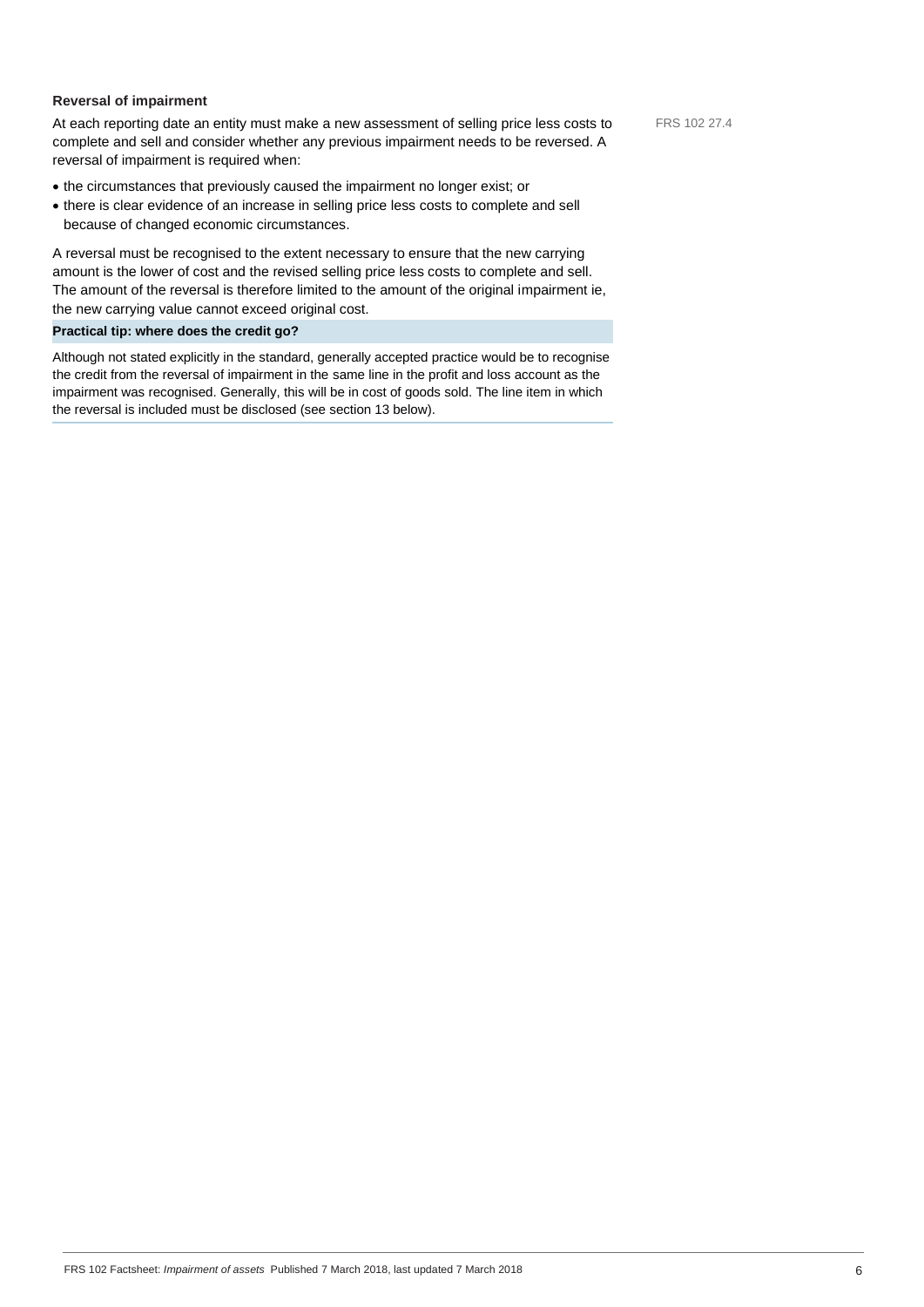# **Reversal of impairment**

At each reporting date an entity must make a new assessment of selling price less costs to complete and sell and consider whether any previous impairment needs to be reversed. A reversal of impairment is required when:

- the circumstances that previously caused the impairment no longer exist; or
- there is clear evidence of an increase in selling price less costs to complete and sell because of changed economic circumstances.

A reversal must be recognised to the extent necessary to ensure that the new carrying amount is the lower of cost and the revised selling price less costs to complete and sell. The amount of the reversal is therefore limited to the amount of the original impairment ie, the new carrying value cannot exceed original cost.

### **Practical tip: where does the credit go?**

Although not stated explicitly in the standard, generally accepted practice would be to recognise the credit from the reversal of impairment in the same line in the profit and loss account as the impairment was recognised. Generally, this will be in cost of goods sold. The line item in which the reversal is included must be disclosed (see section 13 below).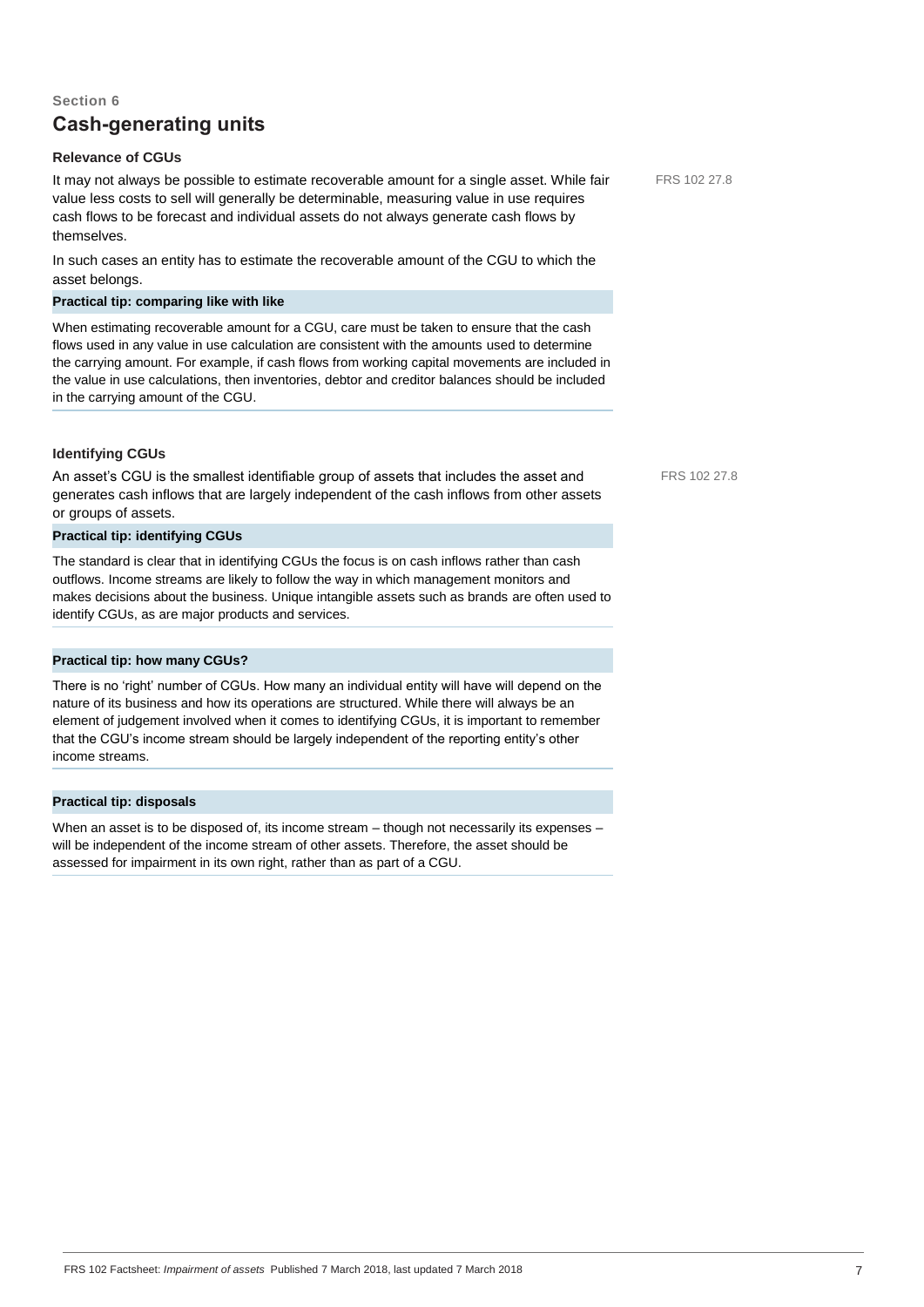# **Section 6 Cash-generating units**

# **Relevance of CGUs**

It may not always be possible to estimate recoverable amount for a single asset. While fair value less costs to sell will generally be determinable, measuring value in use requires cash flows to be forecast and individual assets do not always generate cash flows by themselves.

In such cases an entity has to estimate the recoverable amount of the CGU to which the asset belongs.

# **Practical tip: comparing like with like**

When estimating recoverable amount for a CGU, care must be taken to ensure that the cash flows used in any value in use calculation are consistent with the amounts used to determine the carrying amount. For example, if cash flows from working capital movements are included in the value in use calculations, then inventories, debtor and creditor balances should be included in the carrying amount of the CGU.

### **Identifying CGUs**

An asset's CGU is the smallest identifiable group of assets that includes the asset and generates cash inflows that are largely independent of the cash inflows from other assets or groups of assets.

# **Practical tip: identifying CGUs**

The standard is clear that in identifying CGUs the focus is on cash inflows rather than cash outflows. Income streams are likely to follow the way in which management monitors and makes decisions about the business. Unique intangible assets such as brands are often used to identify CGUs, as are major products and services.

#### **Practical tip: how many CGUs?**

There is no 'right' number of CGUs. How many an individual entity will have will depend on the nature of its business and how its operations are structured. While there will always be an element of judgement involved when it comes to identifying CGUs, it is important to remember that the CGU's income stream should be largely independent of the reporting entity's other income streams.

#### **Practical tip: disposals**

When an asset is to be disposed of, its income stream – though not necessarily its expenses – will be independent of the income stream of other assets. Therefore, the asset should be assessed for impairment in its own right, rather than as part of a CGU.

FRS 102 27.8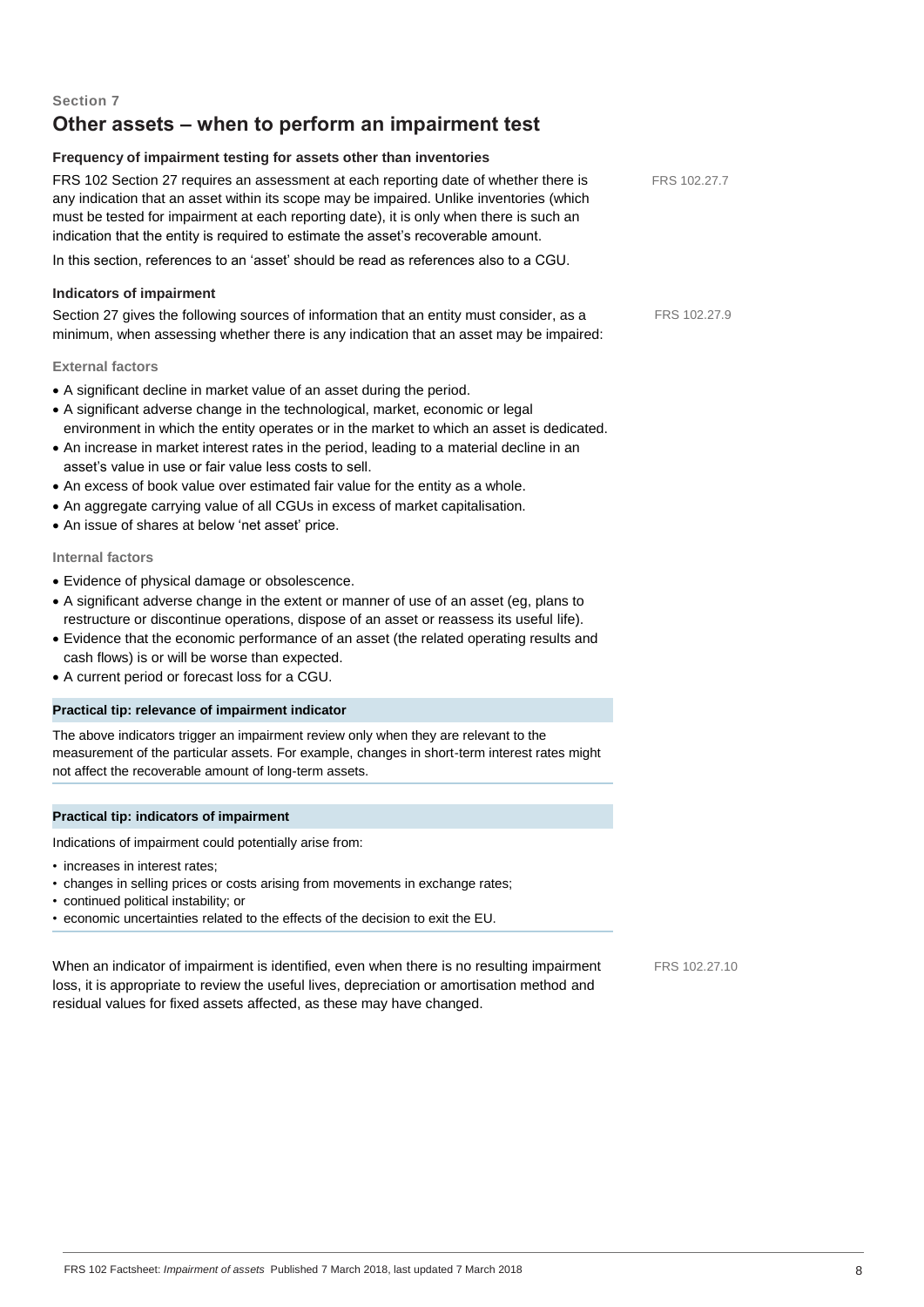# **Other assets – when to perform an impairment test**

# **Frequency of impairment testing for assets other than inventories**

| FRS 102 Section 27 requires an assessment at each reporting date of whether there is<br>any indication that an asset within its scope may be impaired. Unlike inventories (which<br>must be tested for impairment at each reporting date), it is only when there is such an<br>indication that the entity is required to estimate the asset's recoverable amount.                                                                                                                                                                                                                                                                   | FRS 102.27.7 |
|-------------------------------------------------------------------------------------------------------------------------------------------------------------------------------------------------------------------------------------------------------------------------------------------------------------------------------------------------------------------------------------------------------------------------------------------------------------------------------------------------------------------------------------------------------------------------------------------------------------------------------------|--------------|
| In this section, references to an 'asset' should be read as references also to a CGU.                                                                                                                                                                                                                                                                                                                                                                                                                                                                                                                                               |              |
| <b>Indicators of impairment</b>                                                                                                                                                                                                                                                                                                                                                                                                                                                                                                                                                                                                     |              |
| Section 27 gives the following sources of information that an entity must consider, as a<br>minimum, when assessing whether there is any indication that an asset may be impaired:                                                                                                                                                                                                                                                                                                                                                                                                                                                  | FRS 102.27.9 |
| <b>External factors</b>                                                                                                                                                                                                                                                                                                                                                                                                                                                                                                                                                                                                             |              |
| • A significant decline in market value of an asset during the period.<br>• A significant adverse change in the technological, market, economic or legal<br>environment in which the entity operates or in the market to which an asset is dedicated.<br>• An increase in market interest rates in the period, leading to a material decline in an<br>asset's value in use or fair value less costs to sell.<br>• An excess of book value over estimated fair value for the entity as a whole.<br>• An aggregate carrying value of all CGUs in excess of market capitalisation.<br>• An issue of shares at below 'net asset' price. |              |
| Internal factors                                                                                                                                                                                                                                                                                                                                                                                                                                                                                                                                                                                                                    |              |
| • Evidence of physical damage or obsolescence.<br>• A significant adverse change in the extent or manner of use of an asset (eg, plans to<br>restructure or discontinue operations, dispose of an asset or reassess its useful life).<br>• Evidence that the economic performance of an asset (the related operating results and<br>cash flows) is or will be worse than expected.<br>• A current period or forecast loss for a CGU.                                                                                                                                                                                                |              |
| Practical tip: relevance of impairment indicator                                                                                                                                                                                                                                                                                                                                                                                                                                                                                                                                                                                    |              |
| The above indicators trigger an impairment review only when they are relevant to the<br>measurement of the particular assets. For example, changes in short-term interest rates might<br>not affect the recoverable amount of long-term assets.                                                                                                                                                                                                                                                                                                                                                                                     |              |
| Practical tip: indicators of impairment                                                                                                                                                                                                                                                                                                                                                                                                                                                                                                                                                                                             |              |
|                                                                                                                                                                                                                                                                                                                                                                                                                                                                                                                                                                                                                                     |              |
| Indications of impairment could potentially arise from:<br>· increases in interest rates:                                                                                                                                                                                                                                                                                                                                                                                                                                                                                                                                           |              |
| • changes in selling prices or costs arising from movements in exchange rates;<br>· continued political instability; or<br>· economic uncertainties related to the effects of the decision to exit the EU.                                                                                                                                                                                                                                                                                                                                                                                                                          |              |
|                                                                                                                                                                                                                                                                                                                                                                                                                                                                                                                                                                                                                                     |              |

When an indicator of impairment is identified, even when there is no resulting impairment loss, it is appropriate to review the useful lives, depreciation or amortisation method and residual values for fixed assets affected, as these may have changed.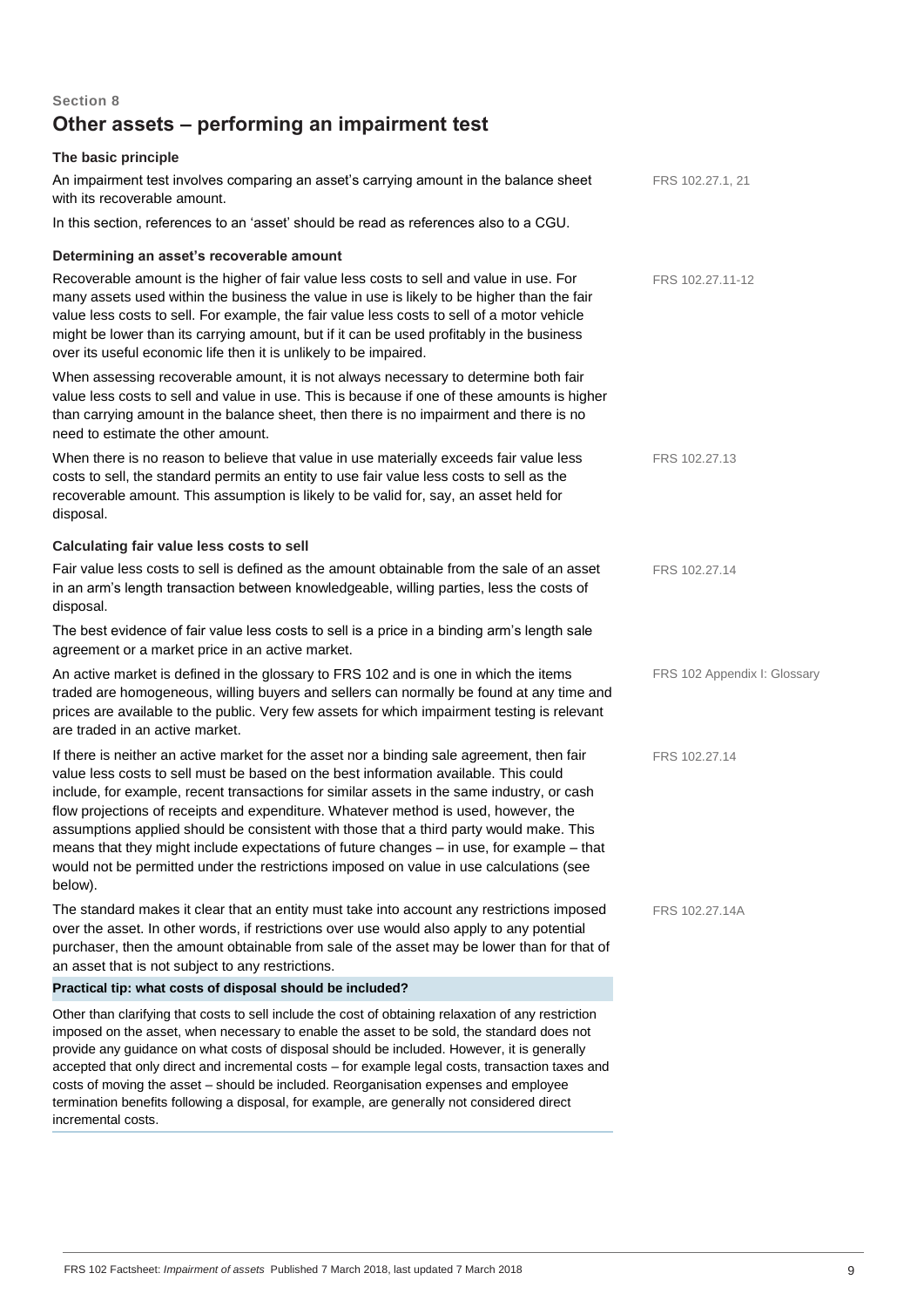# **Section 8 Other assets – performing an impairment test**

# **The basic principle**

incremental costs.

| An impairment test involves comparing an asset's carrying amount in the balance sheet<br>with its recoverable amount.                                                                                                                                                                                                                                                                                                                                                                                                                                                                                                                                                 | FRS 102.27.1, 21             |
|-----------------------------------------------------------------------------------------------------------------------------------------------------------------------------------------------------------------------------------------------------------------------------------------------------------------------------------------------------------------------------------------------------------------------------------------------------------------------------------------------------------------------------------------------------------------------------------------------------------------------------------------------------------------------|------------------------------|
| In this section, references to an 'asset' should be read as references also to a CGU.                                                                                                                                                                                                                                                                                                                                                                                                                                                                                                                                                                                 |                              |
| Determining an asset's recoverable amount                                                                                                                                                                                                                                                                                                                                                                                                                                                                                                                                                                                                                             |                              |
| Recoverable amount is the higher of fair value less costs to sell and value in use. For<br>many assets used within the business the value in use is likely to be higher than the fair<br>value less costs to sell. For example, the fair value less costs to sell of a motor vehicle<br>might be lower than its carrying amount, but if it can be used profitably in the business<br>over its useful economic life then it is unlikely to be impaired.                                                                                                                                                                                                                | FRS 102.27.11-12             |
| When assessing recoverable amount, it is not always necessary to determine both fair<br>value less costs to sell and value in use. This is because if one of these amounts is higher<br>than carrying amount in the balance sheet, then there is no impairment and there is no<br>need to estimate the other amount.                                                                                                                                                                                                                                                                                                                                                  |                              |
| When there is no reason to believe that value in use materially exceeds fair value less<br>costs to sell, the standard permits an entity to use fair value less costs to sell as the<br>recoverable amount. This assumption is likely to be valid for, say, an asset held for<br>disposal.                                                                                                                                                                                                                                                                                                                                                                            | FRS 102.27.13                |
| Calculating fair value less costs to sell                                                                                                                                                                                                                                                                                                                                                                                                                                                                                                                                                                                                                             |                              |
| Fair value less costs to sell is defined as the amount obtainable from the sale of an asset<br>in an arm's length transaction between knowledgeable, willing parties, less the costs of<br>disposal.                                                                                                                                                                                                                                                                                                                                                                                                                                                                  | FRS 102.27.14                |
| The best evidence of fair value less costs to sell is a price in a binding arm's length sale<br>agreement or a market price in an active market.                                                                                                                                                                                                                                                                                                                                                                                                                                                                                                                      |                              |
| An active market is defined in the glossary to FRS 102 and is one in which the items<br>traded are homogeneous, willing buyers and sellers can normally be found at any time and<br>prices are available to the public. Very few assets for which impairment testing is relevant<br>are traded in an active market.                                                                                                                                                                                                                                                                                                                                                   | FRS 102 Appendix I: Glossary |
| If there is neither an active market for the asset nor a binding sale agreement, then fair<br>value less costs to sell must be based on the best information available. This could<br>include, for example, recent transactions for similar assets in the same industry, or cash<br>flow projections of receipts and expenditure. Whatever method is used, however, the<br>assumptions applied should be consistent with those that a third party would make. This<br>means that they might include expectations of future changes - in use, for example - that<br>would not be permitted under the restrictions imposed on value in use calculations (see<br>below). | FRS 102.27.14                |
| The standard makes it clear that an entity must take into account any restrictions imposed<br>over the asset. In other words, if restrictions over use would also apply to any potential<br>purchaser, then the amount obtainable from sale of the asset may be lower than for that of<br>an asset that is not subject to any restrictions.                                                                                                                                                                                                                                                                                                                           | FRS 102.27.14A               |
| Practical tip: what costs of disposal should be included?                                                                                                                                                                                                                                                                                                                                                                                                                                                                                                                                                                                                             |                              |
| Other than clarifying that costs to sell include the cost of obtaining relaxation of any restriction<br>imposed on the asset, when necessary to enable the asset to be sold, the standard does not<br>provide any guidance on what costs of disposal should be included. However, it is generally<br>accepted that only direct and incremental costs - for example legal costs, transaction taxes and                                                                                                                                                                                                                                                                 |                              |

costs of moving the asset – should be included. Reorganisation expenses and employee termination benefits following a disposal, for example, are generally not considered direct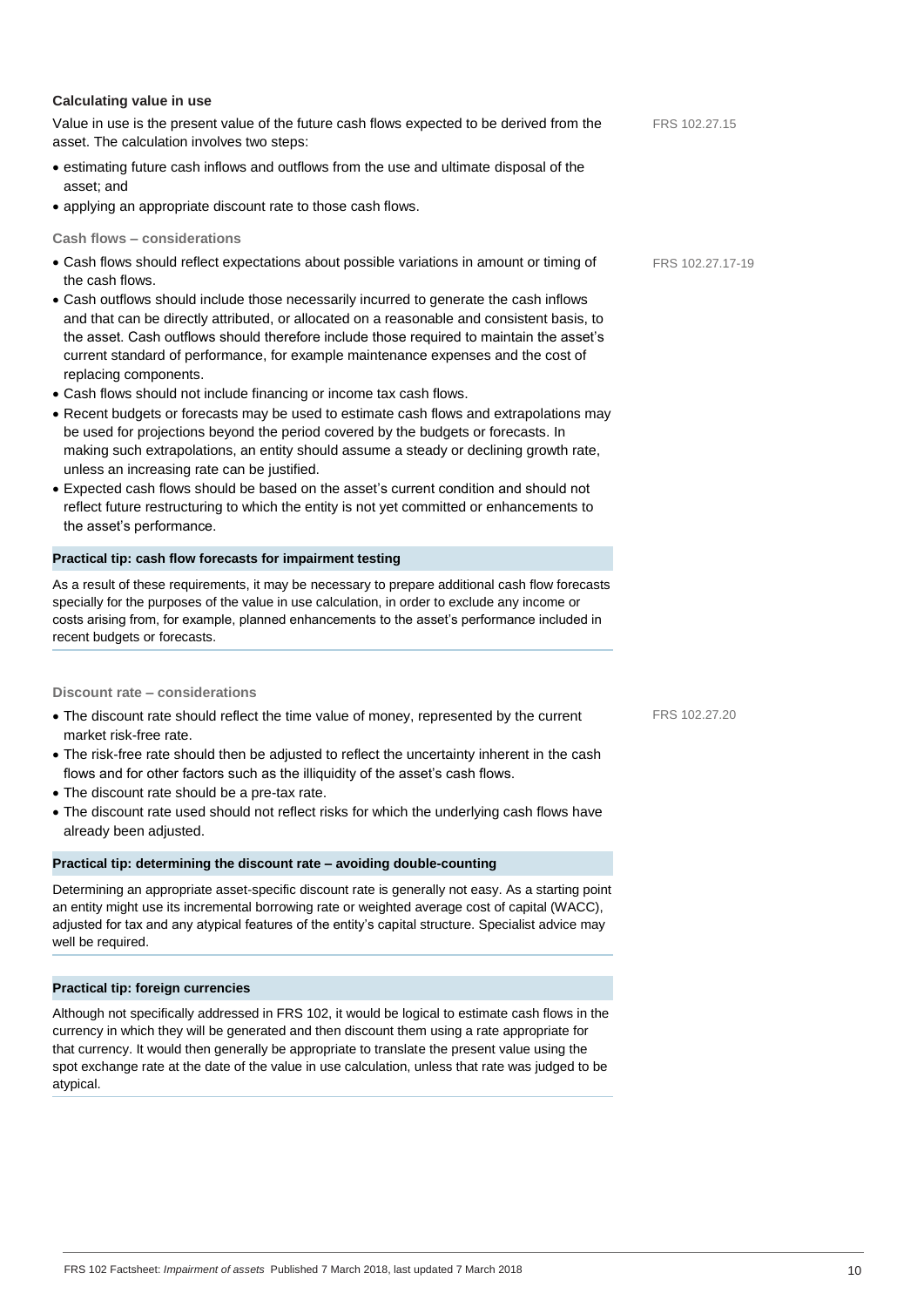#### **Calculating value in use**

Value in use is the present value of the future cash flows expected to be derived from the asset. The calculation involves two steps:

- estimating future cash inflows and outflows from the use and ultimate disposal of the asset; and
- applying an appropriate discount rate to those cash flows.

#### **Cash flows – considerations**

- Cash flows should reflect expectations about possible variations in amount or timing of the cash flows.
- Cash outflows should include those necessarily incurred to generate the cash inflows and that can be directly attributed, or allocated on a reasonable and consistent basis, to the asset. Cash outflows should therefore include those required to maintain the asset's current standard of performance, for example maintenance expenses and the cost of replacing components.
- Cash flows should not include financing or income tax cash flows.
- Recent budgets or forecasts may be used to estimate cash flows and extrapolations may be used for projections beyond the period covered by the budgets or forecasts. In making such extrapolations, an entity should assume a steady or declining growth rate, unless an increasing rate can be justified.
- Expected cash flows should be based on the asset's current condition and should not reflect future restructuring to which the entity is not yet committed or enhancements to the asset's performance.

#### **Practical tip: cash flow forecasts for impairment testing**

As a result of these requirements, it may be necessary to prepare additional cash flow forecasts specially for the purposes of the value in use calculation, in order to exclude any income or costs arising from, for example, planned enhancements to the asset's performance included in recent budgets or forecasts.

#### **Discount rate – considerations**

- The discount rate should reflect the time value of money, represented by the current market risk-free rate.
- The risk-free rate should then be adjusted to reflect the uncertainty inherent in the cash flows and for other factors such as the illiquidity of the asset's cash flows.
- The discount rate should be a pre-tax rate.
- The discount rate used should not reflect risks for which the underlying cash flows have already been adjusted.

# **Practical tip: determining the discount rate – avoiding double-counting**

Determining an appropriate asset-specific discount rate is generally not easy. As a starting point an entity might use its incremental borrowing rate or weighted average cost of capital (WACC), adjusted for tax and any atypical features of the entity's capital structure. Specialist advice may well be required.

#### **Practical tip: foreign currencies**

Although not specifically addressed in FRS 102, it would be logical to estimate cash flows in the currency in which they will be generated and then discount them using a rate appropriate for that currency. It would then generally be appropriate to translate the present value using the spot exchange rate at the date of the value in use calculation, unless that rate was judged to be atypical.

FRS 102.27.15

FRS 102.27.17-19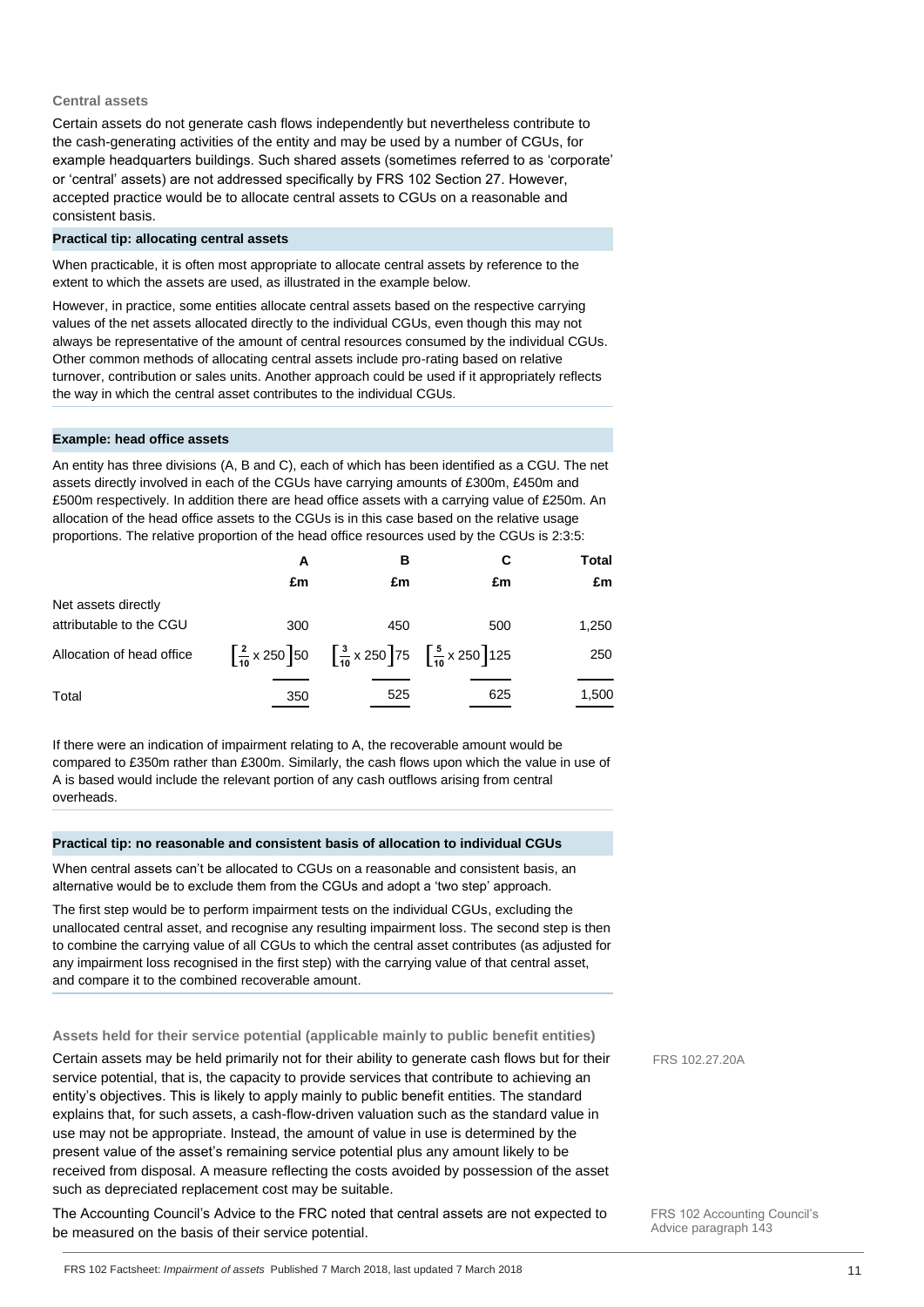#### **Central assets**

Certain assets do not generate cash flows independently but nevertheless contribute to the cash-generating activities of the entity and may be used by a number of CGUs, for example headquarters buildings. Such shared assets (sometimes referred to as 'corporate' or 'central' assets) are not addressed specifically by FRS 102 Section 27. However, accepted practice would be to allocate central assets to CGUs on a reasonable and consistent basis.

#### **Practical tip: allocating central assets**

When practicable, it is often most appropriate to allocate central assets by reference to the extent to which the assets are used, as illustrated in the example below.

However, in practice, some entities allocate central assets based on the respective carrying values of the net assets allocated directly to the individual CGUs, even though this may not always be representative of the amount of central resources consumed by the individual CGUs. Other common methods of allocating central assets include pro-rating based on relative turnover, contribution or sales units. Another approach could be used if it appropriately reflects the way in which the central asset contributes to the individual CGUs.

#### **Example: head office assets**

An entity has three divisions (A, B and C), each of which has been identified as a CGU. The net assets directly involved in each of the CGUs have carrying amounts of £300m, £450m and £500m respectively. In addition there are head office assets with a carrying value of £250m. An allocation of the head office assets to the CGUs is in this case based on the relative usage proportions. The relative proportion of the head office resources used by the CGUs is 2:3:5:

|                           | A   | в                                                                                                                              | С   | <b>Total</b> |
|---------------------------|-----|--------------------------------------------------------------------------------------------------------------------------------|-----|--------------|
|                           | £m  | £m                                                                                                                             | £m  | £m           |
| Net assets directly       |     |                                                                                                                                |     |              |
| attributable to the CGU   | 300 | 450                                                                                                                            | 500 | 1,250        |
| Allocation of head office |     | $\left[\frac{2}{10} \times 250\right]$ 50 $\left[\frac{3}{10} \times 250\right]$ 75 $\left[\frac{5}{10} \times 250\right]$ 125 |     | 250          |
| Total                     | 350 | 525                                                                                                                            | 625 | 1,500        |

If there were an indication of impairment relating to A, the recoverable amount would be compared to £350m rather than £300m. Similarly, the cash flows upon which the value in use of A is based would include the relevant portion of any cash outflows arising from central overheads.

#### **Practical tip: no reasonable and consistent basis of allocation to individual CGUs**

When central assets can't be allocated to CGUs on a reasonable and consistent basis, an alternative would be to exclude them from the CGUs and adopt a 'two step' approach.

The first step would be to perform impairment tests on the individual CGUs, excluding the unallocated central asset, and recognise any resulting impairment loss. The second step is then to combine the carrying value of all CGUs to which the central asset contributes (as adjusted for any impairment loss recognised in the first step) with the carrying value of that central asset, and compare it to the combined recoverable amount.

#### **Assets held for their service potential (applicable mainly to public benefit entities)**

Certain assets may be held primarily not for their ability to generate cash flows but for their service potential, that is, the capacity to provide services that contribute to achieving an entity's objectives. This is likely to apply mainly to public benefit entities. The standard explains that, for such assets, a cash-flow-driven valuation such as the standard value in use may not be appropriate. Instead, the amount of value in use is determined by the present value of the asset's remaining service potential plus any amount likely to be received from disposal. A measure reflecting the costs avoided by possession of the asset such as depreciated replacement cost may be suitable.

The Accounting Council's Advice to the FRC noted that central assets are not expected to be measured on the basis of their service potential.

FRS 102.27.20A

FRS 102 Accounting Council's Advice paragraph 143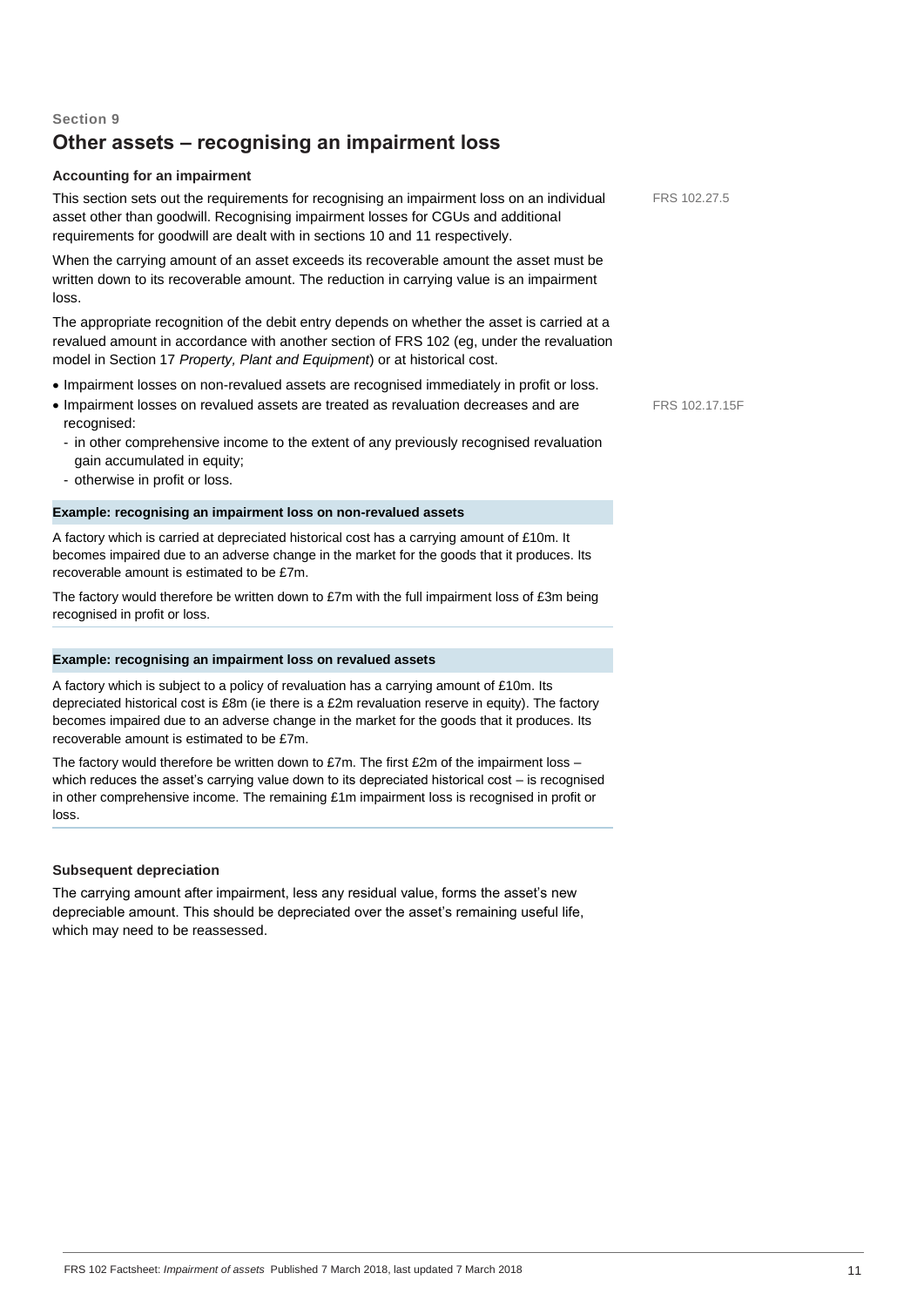# **Other assets – recognising an impairment loss**

# **Accounting for an impairment**

This section sets out the requirements for recognising an impairment loss on an individual asset other than goodwill. Recognising impairment losses for CGUs and additional requirements for goodwill are dealt with in sections 10 and 11 respectively.

When the carrying amount of an asset exceeds its recoverable amount the asset must be written down to its recoverable amount. The reduction in carrying value is an impairment loss.

The appropriate recognition of the debit entry depends on whether the asset is carried at a revalued amount in accordance with another section of FRS 102 (eg, under the revaluation model in Section 17 *Property, Plant and Equipment*) or at historical cost.

- Impairment losses on non-revalued assets are recognised immediately in profit or loss.
- Impairment losses on revalued assets are treated as revaluation decreases and are recognised:
	- in other comprehensive income to the extent of any previously recognised revaluation gain accumulated in equity;
	- otherwise in profit or loss.

# **Example: recognising an impairment loss on non-revalued assets**

A factory which is carried at depreciated historical cost has a carrying amount of £10m. It becomes impaired due to an adverse change in the market for the goods that it produces. Its recoverable amount is estimated to be £7m.

The factory would therefore be written down to £7m with the full impairment loss of £3m being recognised in profit or loss.

# **Example: recognising an impairment loss on revalued assets**

A factory which is subject to a policy of revaluation has a carrying amount of £10m. Its depreciated historical cost is £8m (ie there is a £2m revaluation reserve in equity). The factory becomes impaired due to an adverse change in the market for the goods that it produces. Its recoverable amount is estimated to be £7m.

The factory would therefore be written down to £7m. The first £2m of the impairment loss which reduces the asset's carrying value down to its depreciated historical cost – is recognised in other comprehensive income. The remaining £1m impairment loss is recognised in profit or loss.

# **Subsequent depreciation**

The carrying amount after impairment, less any residual value, forms the asset's new depreciable amount. This should be depreciated over the asset's remaining useful life, which may need to be reassessed.

FRS 102.27.5

FRS 102.17.15F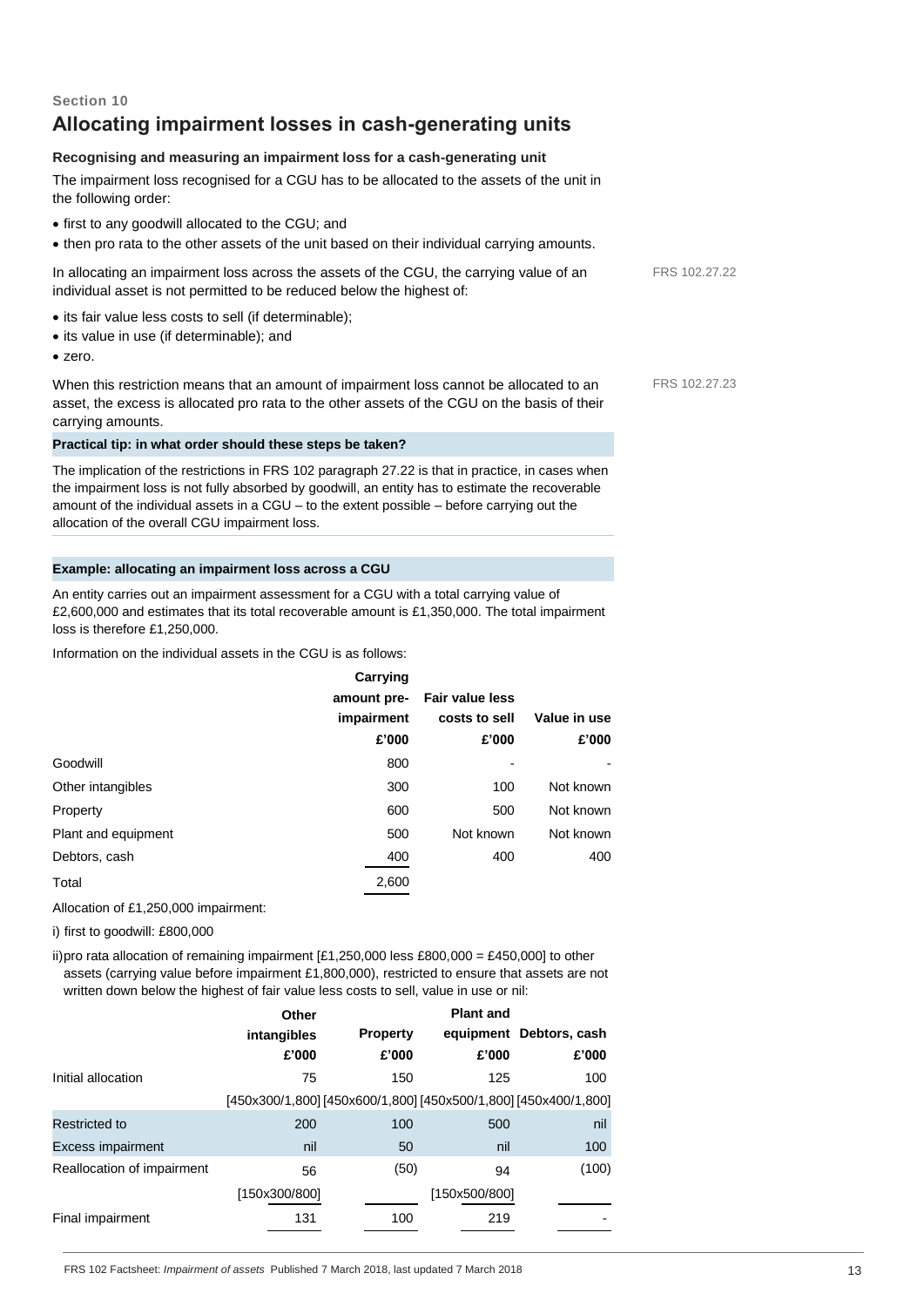# **Section 10 Allocating impairment losses in cash-generating units**

# **Recognising and measuring an impairment loss for a cash-generating unit**

The impairment loss recognised for a CGU has to be allocated to the assets of the unit in the following order:

- first to any goodwill allocated to the CGU; and
- then pro rata to the other assets of the unit based on their individual carrying amounts.

In allocating an impairment loss across the assets of the CGU, the carrying value of an individual asset is not permitted to be reduced below the highest of:

- its fair value less costs to sell (if determinable);
- its value in use (if determinable); and
- zero.

When this restriction means that an amount of impairment loss cannot be allocated to an asset, the excess is allocated pro rata to the other assets of the CGU on the basis of their carrying amounts.

#### **Practical tip: in what order should these steps be taken?**

The implication of the restrictions in FRS 102 paragraph 27.22 is that in practice, in cases when the impairment loss is not fully absorbed by goodwill, an entity has to estimate the recoverable amount of the individual assets in a CGU – to the extent possible – before carrying out the allocation of the overall CGU impairment loss.

# **Example: allocating an impairment loss across a CGU**

An entity carries out an impairment assessment for a CGU with a total carrying value of £2,600,000 and estimates that its total recoverable amount is £1,350,000. The total impairment loss is therefore £1,250,000.

Information on the individual assets in the CGU is as follows:

|                     | Carrying    |                        |              |
|---------------------|-------------|------------------------|--------------|
|                     | amount pre- | <b>Fair value less</b> |              |
|                     | impairment  | costs to sell          | Value in use |
|                     | £'000       | £'000                  | £'000        |
| Goodwill            | 800         |                        |              |
| Other intangibles   | 300         | 100                    | Not known    |
| Property            | 600         | 500                    | Not known    |
| Plant and equipment | 500         | Not known              | Not known    |
| Debtors, cash       | 400         | 400                    | 400          |
| Total               | 2,600       |                        |              |
|                     |             |                        |              |

Allocation of £1,250,000 impairment:

i) first to goodwill: £800,000

ii)pro rata allocation of remaining impairment  $[£1,250,000$  less £800,000 = £450,000] to other assets (carrying value before impairment £1,800,000), restricted to ensure that assets are not written down below the highest of fair value less costs to sell, value in use or nil:

|                            | Other                                                           |                 | <b>Plant and</b> |                         |
|----------------------------|-----------------------------------------------------------------|-----------------|------------------|-------------------------|
|                            | intangibles                                                     | <b>Property</b> |                  | equipment Debtors, cash |
|                            | £'000                                                           | £'000           | £'000            | £'000                   |
| Initial allocation         | 75                                                              | 150             | 125              | 100                     |
|                            | [450x300/1,800] [450x600/1,800] [450x500/1,800] [450x400/1,800] |                 |                  |                         |
| Restricted to              | 200                                                             | 100             | 500              | nil                     |
| <b>Excess impairment</b>   | nil                                                             | 50              | nil              | 100                     |
| Reallocation of impairment | 56                                                              | (50)            | 94               | (100)                   |
|                            | [150x300/800]                                                   |                 | [150x500/800]    |                         |
| Final impairment           | 131                                                             | 100             | 219              |                         |

FRS 102.27.22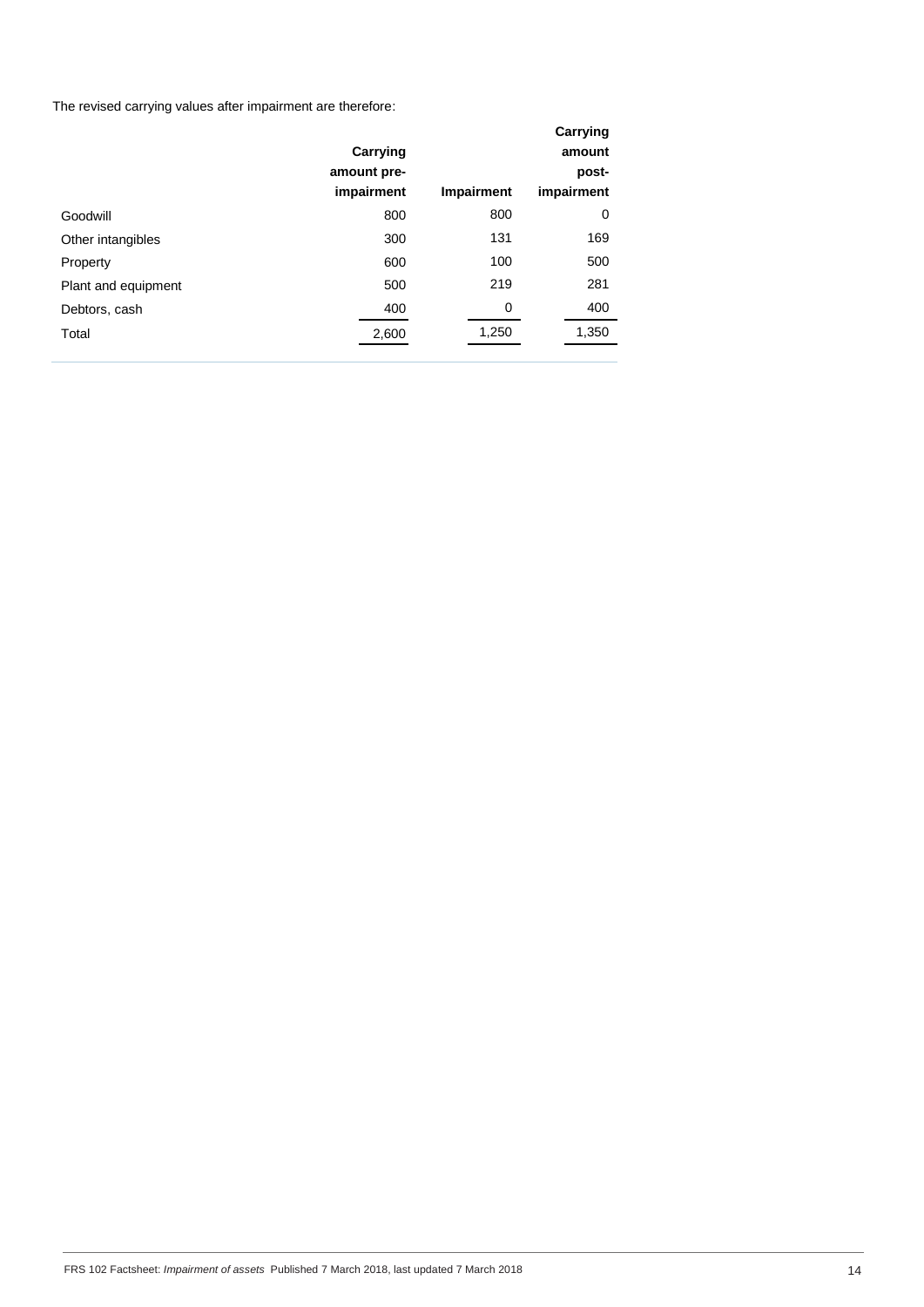The revised carrying values after impairment are therefore:

|                     | Carrying<br>amount pre-<br>impairment | Impairment | Carrying<br>amount<br>post-<br>impairment |
|---------------------|---------------------------------------|------------|-------------------------------------------|
| Goodwill            | 800                                   | 800        | 0                                         |
| Other intangibles   | 300                                   | 131        | 169                                       |
| Property            | 600                                   | 100        | 500                                       |
| Plant and equipment | 500                                   | 219        | 281                                       |
| Debtors, cash       | 400                                   | 0          | 400                                       |
| Total               | 2,600                                 | 1,250      | 1,350                                     |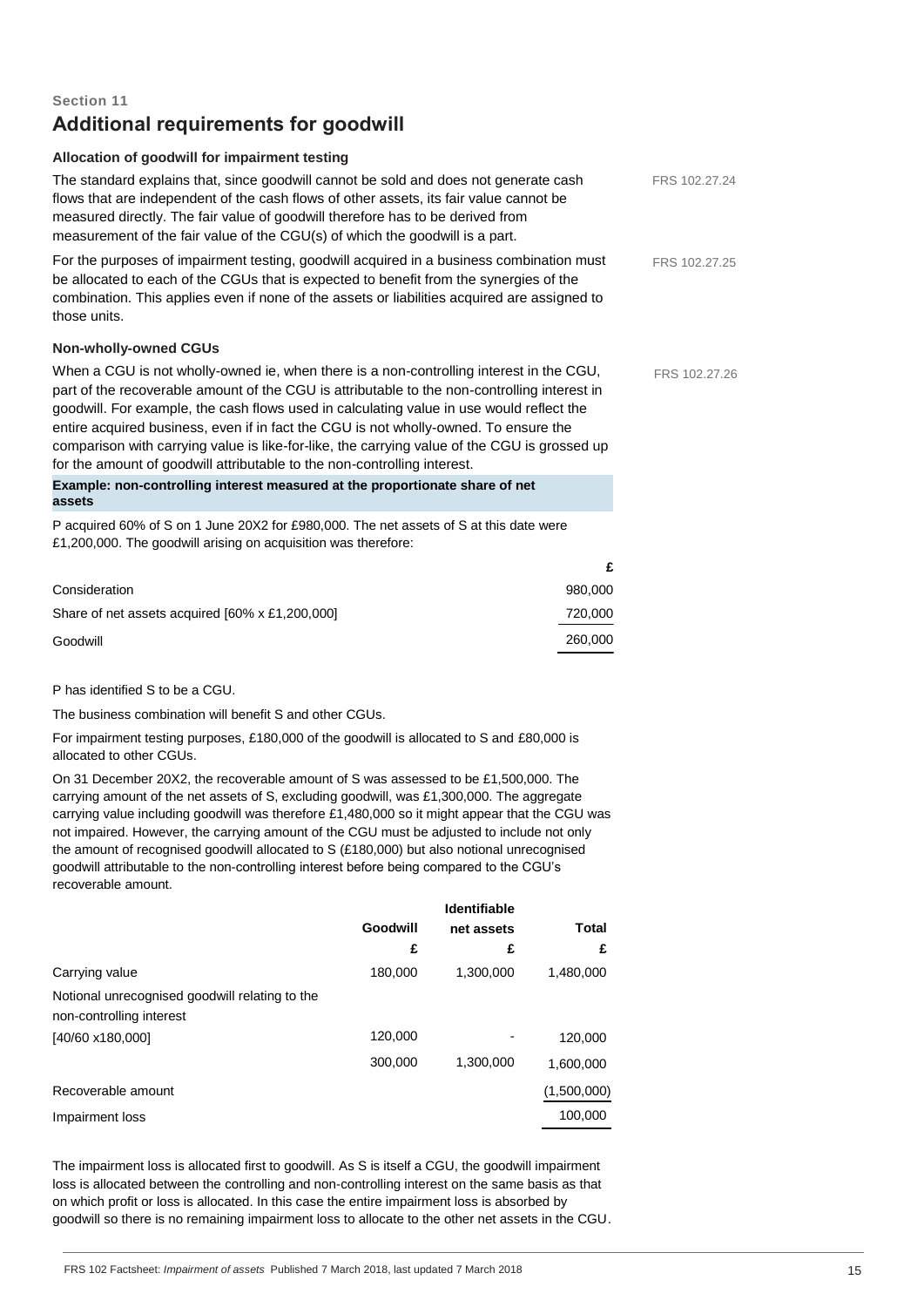# **Section 11 Additional requirements for goodwill**

# **Allocation of goodwill for impairment testing**

| The standard explains that, since goodwill cannot be sold and does not generate cash<br>flows that are independent of the cash flows of other assets, its fair value cannot be                                                                                                                                                                                                                                                                                                                                                                          |         | FRS 102.27.24 |
|---------------------------------------------------------------------------------------------------------------------------------------------------------------------------------------------------------------------------------------------------------------------------------------------------------------------------------------------------------------------------------------------------------------------------------------------------------------------------------------------------------------------------------------------------------|---------|---------------|
| measured directly. The fair value of goodwill therefore has to be derived from                                                                                                                                                                                                                                                                                                                                                                                                                                                                          |         |               |
| measurement of the fair value of the CGU(s) of which the goodwill is a part.                                                                                                                                                                                                                                                                                                                                                                                                                                                                            |         |               |
| For the purposes of impairment testing, goodwill acquired in a business combination must<br>be allocated to each of the CGUs that is expected to benefit from the synergies of the<br>combination. This applies even if none of the assets or liabilities acquired are assigned to<br>those units.                                                                                                                                                                                                                                                      |         | FRS 102.27.25 |
| <b>Non-wholly-owned CGUs</b>                                                                                                                                                                                                                                                                                                                                                                                                                                                                                                                            |         |               |
| When a CGU is not wholly-owned ie, when there is a non-controlling interest in the CGU,<br>part of the recoverable amount of the CGU is attributable to the non-controlling interest in<br>goodwill. For example, the cash flows used in calculating value in use would reflect the<br>entire acquired business, even if in fact the CGU is not wholly-owned. To ensure the<br>comparison with carrying value is like-for-like, the carrying value of the CGU is grossed up<br>for the amount of goodwill attributable to the non-controlling interest. |         | FRS 102.27.26 |
| Example: non-controlling interest measured at the proportionate share of net<br>assets                                                                                                                                                                                                                                                                                                                                                                                                                                                                  |         |               |
| P acquired 60% of S on 1 June 20X2 for £980,000. The net assets of S at this date were<br>£1,200,000. The goodwill arising on acquisition was therefore:                                                                                                                                                                                                                                                                                                                                                                                                |         |               |
|                                                                                                                                                                                                                                                                                                                                                                                                                                                                                                                                                         | £       |               |
| Consideration                                                                                                                                                                                                                                                                                                                                                                                                                                                                                                                                           | 980,000 |               |
| Share of net assets acquired [60% x £1,200,000]                                                                                                                                                                                                                                                                                                                                                                                                                                                                                                         | 720,000 |               |
| Goodwill                                                                                                                                                                                                                                                                                                                                                                                                                                                                                                                                                | 260,000 |               |
| P has identified S to be a CGU.                                                                                                                                                                                                                                                                                                                                                                                                                                                                                                                         |         |               |
|                                                                                                                                                                                                                                                                                                                                                                                                                                                                                                                                                         |         |               |

The business combination will benefit S and other CGUs.

For impairment testing purposes, £180,000 of the goodwill is allocated to S and £80,000 is allocated to other CGUs.

On 31 December 20X2, the recoverable amount of S was assessed to be £1,500,000. The carrying amount of the net assets of S, excluding goodwill, was £1,300,000. The aggregate carrying value including goodwill was therefore £1,480,000 so it might appear that the CGU was not impaired. However, the carrying amount of the CGU must be adjusted to include not only the amount of recognised goodwill allocated to S (£180,000) but also notional unrecognised goodwill attributable to the non-controlling interest before being compared to the CGU's recoverable amount.

|                                                |          | <b>Identifiable</b> |              |
|------------------------------------------------|----------|---------------------|--------------|
|                                                | Goodwill | net assets          | <b>Total</b> |
|                                                | £        | £                   | £            |
| Carrying value                                 | 180.000  | 1,300,000           | 1,480,000    |
| Notional unrecognised goodwill relating to the |          |                     |              |
| non-controlling interest                       |          |                     |              |
| [40/60 x180,000]                               | 120,000  |                     | 120,000      |
|                                                | 300,000  | 1.300.000           | 1,600,000    |
| Recoverable amount                             |          |                     | (1,500,000)  |
| Impairment loss                                |          |                     | 100,000      |
|                                                |          |                     |              |

The impairment loss is allocated first to goodwill. As S is itself a CGU, the goodwill impairment loss is allocated between the controlling and non-controlling interest on the same basis as that on which profit or loss is allocated. In this case the entire impairment loss is absorbed by goodwill so there is no remaining impairment loss to allocate to the other net assets in the CGU.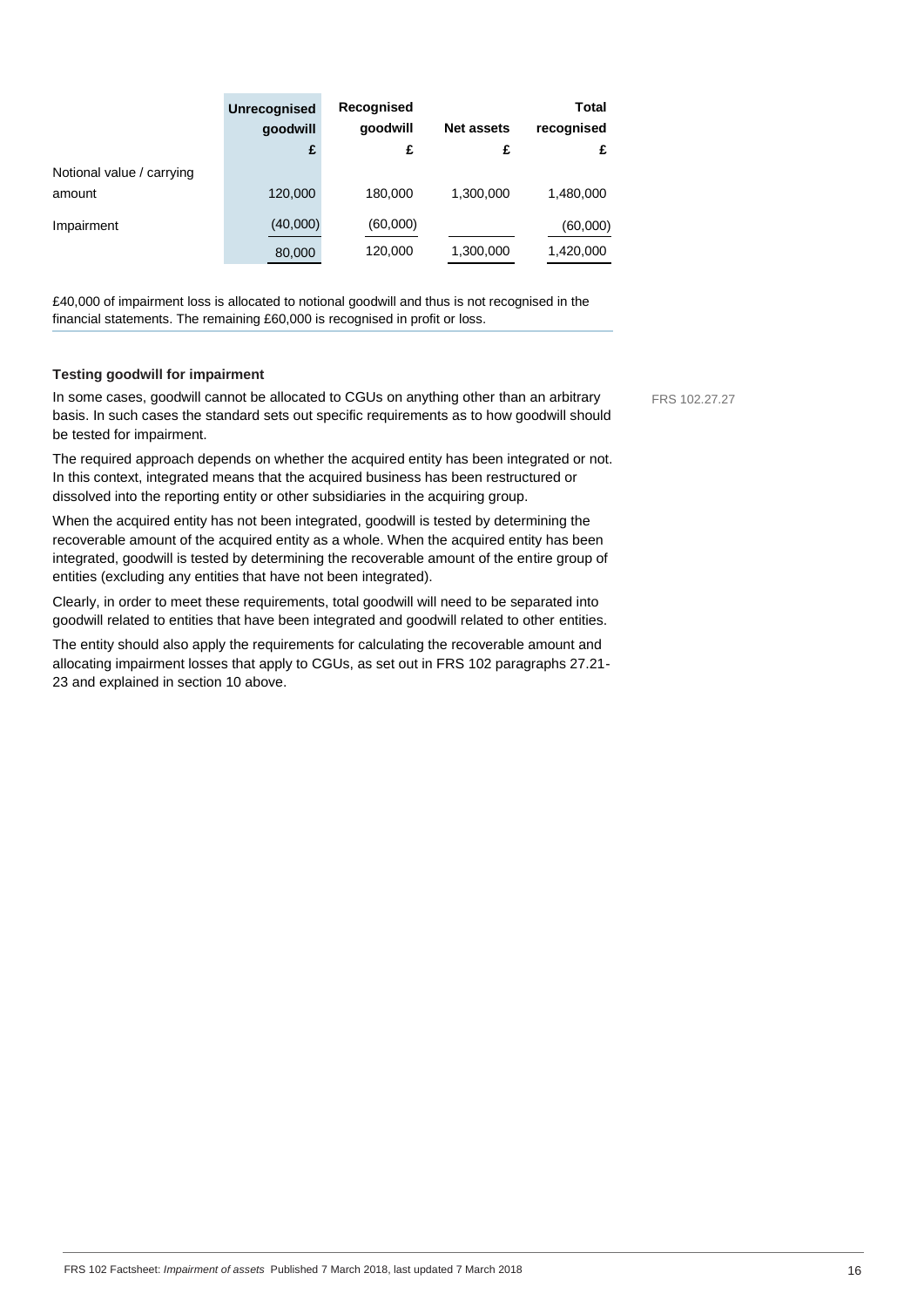|                                     | <b>Unrecognised</b><br>qoodwill<br>£ | Recognised<br>qoodwill<br>£ | <b>Net assets</b><br>£ | Total<br>recognised<br>£ |
|-------------------------------------|--------------------------------------|-----------------------------|------------------------|--------------------------|
| Notional value / carrying<br>amount | 120,000                              | 180,000                     | 1,300,000              | 1,480,000                |
| Impairment                          | (40,000)<br>80,000                   | (60,000)<br>120,000         | 1,300,000              | (60,000)<br>1,420,000    |

£40,000 of impairment loss is allocated to notional goodwill and thus is not recognised in the financial statements. The remaining £60,000 is recognised in profit or loss.

#### **Testing goodwill for impairment**

In some cases, goodwill cannot be allocated to CGUs on anything other than an arbitrary basis. In such cases the standard sets out specific requirements as to how goodwill should be tested for impairment.

The required approach depends on whether the acquired entity has been integrated or not. In this context, integrated means that the acquired business has been restructured or dissolved into the reporting entity or other subsidiaries in the acquiring group.

When the acquired entity has not been integrated, goodwill is tested by determining the recoverable amount of the acquired entity as a whole. When the acquired entity has been integrated, goodwill is tested by determining the recoverable amount of the entire group of entities (excluding any entities that have not been integrated).

Clearly, in order to meet these requirements, total goodwill will need to be separated into goodwill related to entities that have been integrated and goodwill related to other entities.

The entity should also apply the requirements for calculating the recoverable amount and allocating impairment losses that apply to CGUs, as set out in FRS 102 paragraphs 27.21- 23 and explained in section 10 above.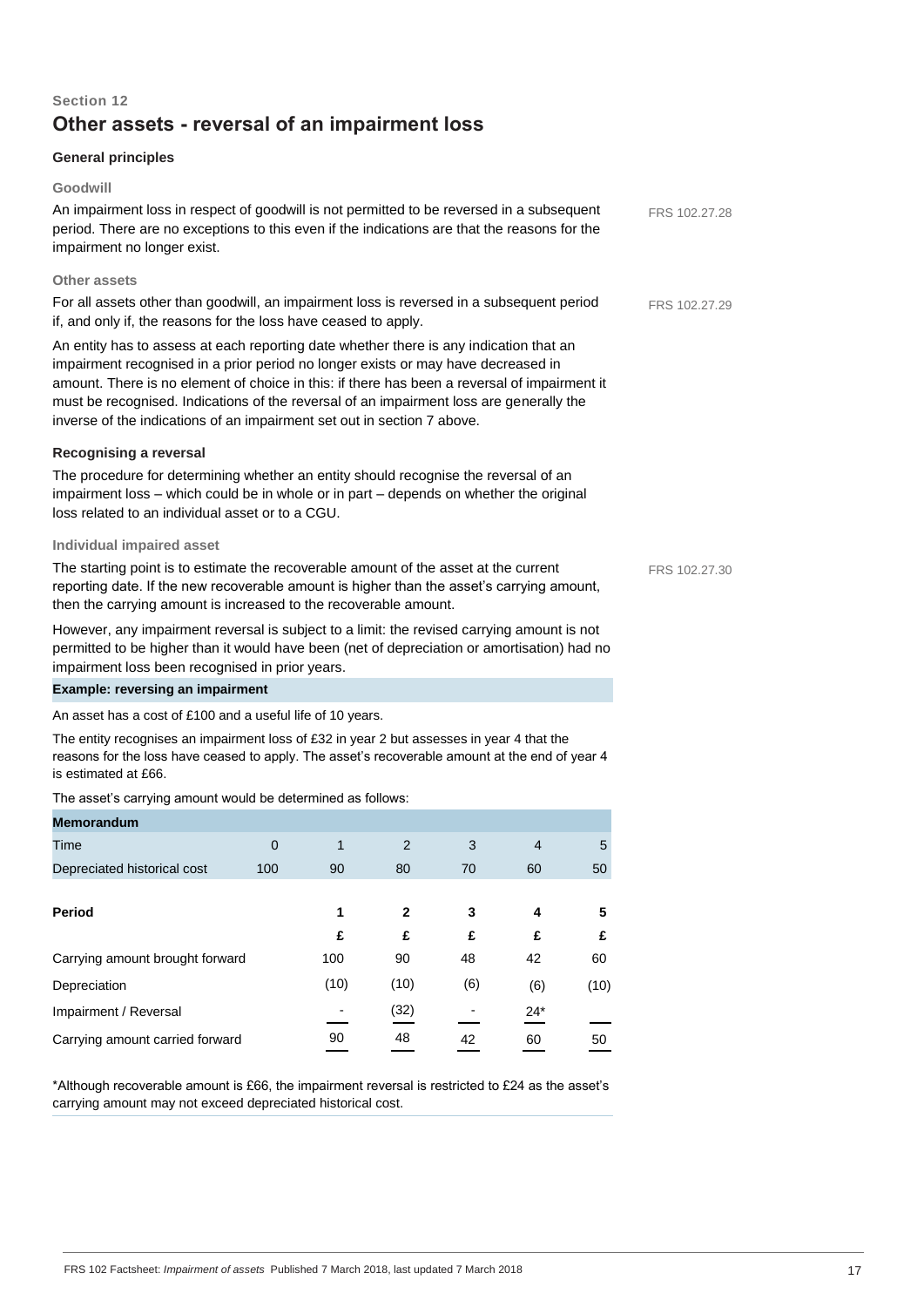# **Section 12 Other assets - reversal of an impairment loss**

# **General principles**

## **Goodwill**

An impairment loss in respect of goodwill is not permitted to be reversed in a subsequent period. There are no exceptions to this even if the indications are that the reasons for the impairment no longer exist.

# **Other assets**

For all assets other than goodwill, an impairment loss is reversed in a subsequent period if, and only if, the reasons for the loss have ceased to apply.

An entity has to assess at each reporting date whether there is any indication that an impairment recognised in a prior period no longer exists or may have decreased in amount. There is no element of choice in this: if there has been a reversal of impairment it must be recognised. Indications of the reversal of an impairment loss are generally the inverse of the indications of an impairment set out in section 7 above.

# **Recognising a reversal**

The procedure for determining whether an entity should recognise the reversal of an impairment loss – which could be in whole or in part – depends on whether the original loss related to an individual asset or to a CGU.

### **Individual impaired asset**

The starting point is to estimate the recoverable amount of the asset at the current reporting date. If the new recoverable amount is higher than the asset's carrying amount, then the carrying amount is increased to the recoverable amount.

However, any impairment reversal is subject to a limit: the revised carrying amount is not permitted to be higher than it would have been (net of depreciation or amortisation) had no impairment loss been recognised in prior years.

# **Example: reversing an impairment**

An asset has a cost of £100 and a useful life of 10 years.

The entity recognises an impairment loss of £32 in year 2 but assesses in year 4 that the reasons for the loss have ceased to apply. The asset's recoverable amount at the end of year 4 is estimated at £66.

The asset's carrying amount would be determined as follows:

| <b>Memorandum</b>               |          |      |      |     |                |      |
|---------------------------------|----------|------|------|-----|----------------|------|
| Time                            | $\Omega$ | 1    | 2    | 3   | $\overline{4}$ | 5    |
| Depreciated historical cost     | 100      | 90   | 80   | 70  | 60             | 50   |
|                                 |          |      |      |     |                |      |
| Period                          |          | 1    | 2    | 3   | 4              | 5    |
|                                 |          | £    | £    | £   | £              | £    |
| Carrying amount brought forward |          | 100  | 90   | 48  | 42             | 60   |
| Depreciation                    |          | (10) | (10) | (6) | (6)            | (10) |
| Impairment / Reversal           |          |      | (32) |     | $24*$          |      |
| Carrying amount carried forward |          | 90   | 48   | 42  | 60             | 50   |

\*Although recoverable amount is £66, the impairment reversal is restricted to £24 as the asset's carrying amount may not exceed depreciated historical cost.

FRS 102.27.28

FRS 102.27.29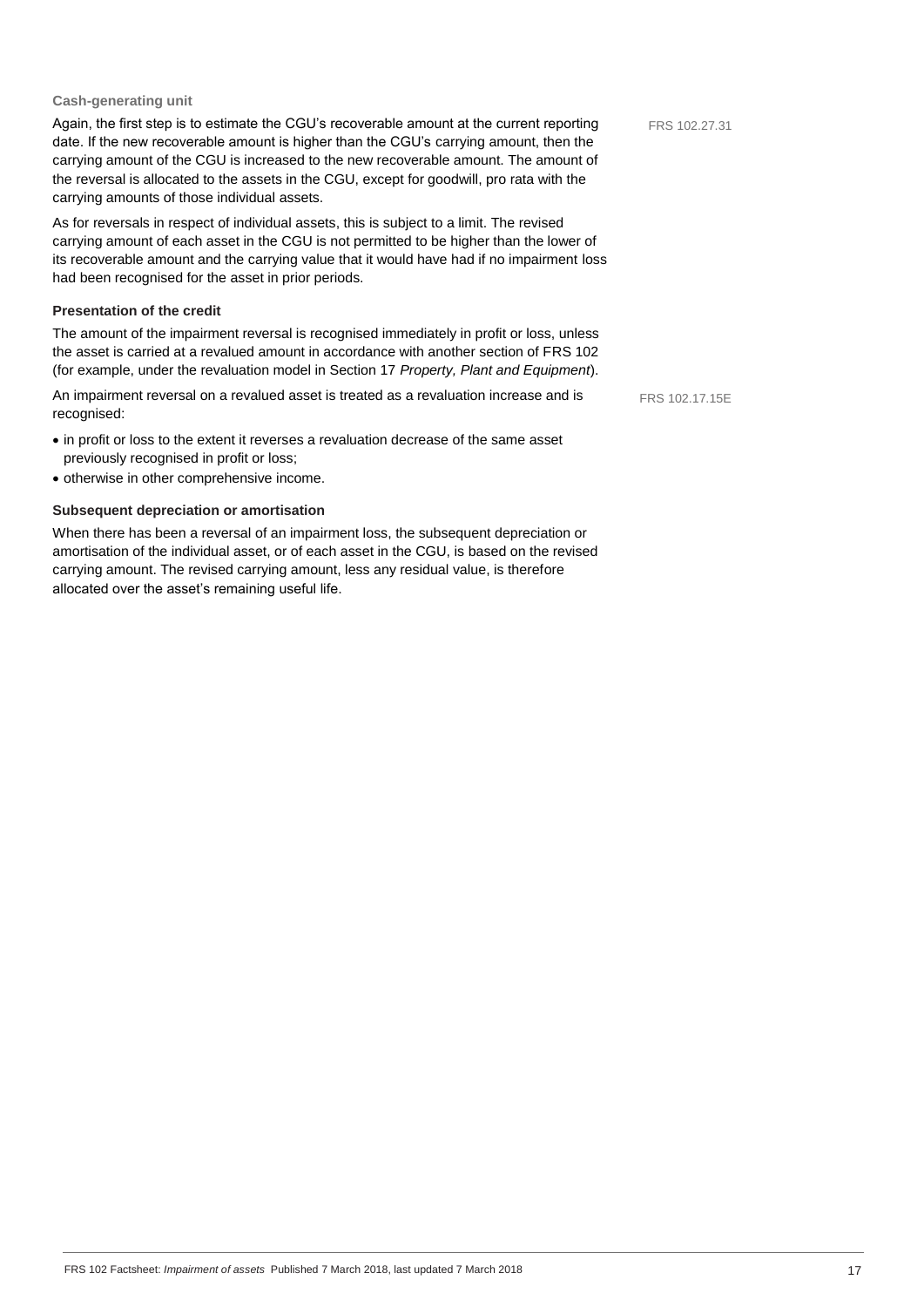### **Cash-generating unit**

Again, the first step is to estimate the CGU's recoverable amount at the current reporting date. If the new recoverable amount is higher than the CGU's carrying amount, then the carrying amount of the CGU is increased to the new recoverable amount. The amount of the reversal is allocated to the assets in the CGU, except for goodwill, pro rata with the carrying amounts of those individual assets. As for reversals in respect of individual assets, this is subject to a limit. The revised carrying amount of each asset in the CGU is not permitted to be higher than the lower of its recoverable amount and the carrying value that it would have had if no impairment loss had been recognised for the asset in prior periods. **Presentation of the credit** FRS 102.27.31

The amount of the impairment reversal is recognised immediately in profit or loss, unless the asset is carried at a revalued amount in accordance with another section of FRS 102 (for example, under the revaluation model in Section 17 *Property, Plant and Equipment*).

An impairment reversal on a revalued asset is treated as a revaluation increase and is recognised: FRS 102.17.15E

- in profit or loss to the extent it reverses a revaluation decrease of the same asset previously recognised in profit or loss;
- otherwise in other comprehensive income.

# **Subsequent depreciation or amortisation**

When there has been a reversal of an impairment loss, the subsequent depreciation or amortisation of the individual asset, or of each asset in the CGU, is based on the revised carrying amount. The revised carrying amount, less any residual value, is therefore allocated over the asset's remaining useful life.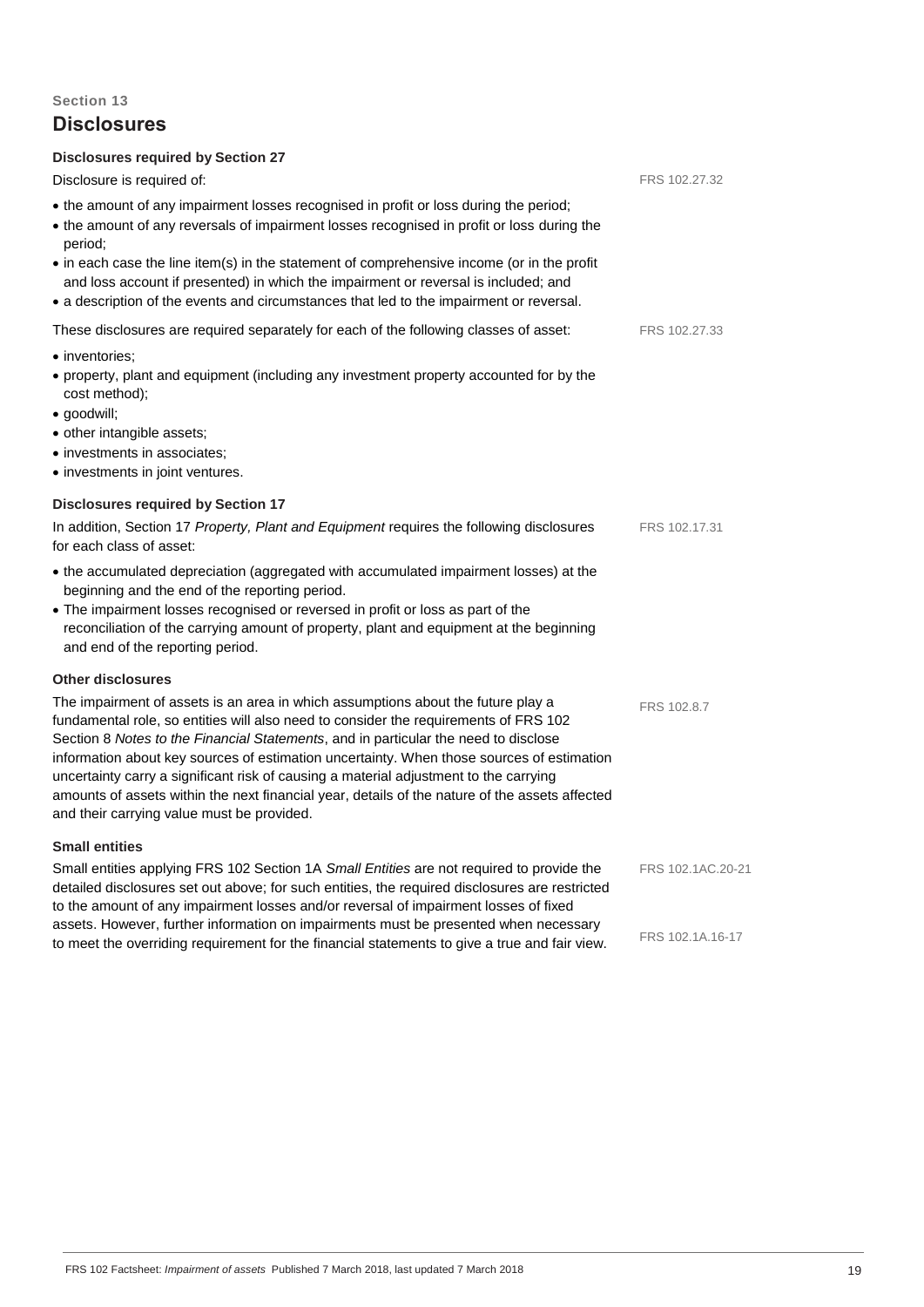# **Disclosures**

| <b>Disclosures required by Section 27</b><br>Disclosure is required of:                                                                                                                                                                                                                                                                                                                                                                                                                                                                                                                               | FRS 102.27.32     |
|-------------------------------------------------------------------------------------------------------------------------------------------------------------------------------------------------------------------------------------------------------------------------------------------------------------------------------------------------------------------------------------------------------------------------------------------------------------------------------------------------------------------------------------------------------------------------------------------------------|-------------------|
| • the amount of any impairment losses recognised in profit or loss during the period;<br>• the amount of any reversals of impairment losses recognised in profit or loss during the<br>period;<br>• in each case the line item(s) in the statement of comprehensive income (or in the profit<br>and loss account if presented) in which the impairment or reversal is included; and<br>• a description of the events and circumstances that led to the impairment or reversal.                                                                                                                        |                   |
| These disclosures are required separately for each of the following classes of asset:                                                                                                                                                                                                                                                                                                                                                                                                                                                                                                                 | FRS 102.27.33     |
| • inventories:<br>• property, plant and equipment (including any investment property accounted for by the<br>cost method);<br>· goodwill;<br>· other intangible assets;<br>• investments in associates;<br>• investments in joint ventures.                                                                                                                                                                                                                                                                                                                                                           |                   |
| <b>Disclosures required by Section 17</b>                                                                                                                                                                                                                                                                                                                                                                                                                                                                                                                                                             |                   |
| In addition, Section 17 Property, Plant and Equipment requires the following disclosures<br>for each class of asset:                                                                                                                                                                                                                                                                                                                                                                                                                                                                                  | FRS 102.17.31     |
| • the accumulated depreciation (aggregated with accumulated impairment losses) at the<br>beginning and the end of the reporting period.<br>• The impairment losses recognised or reversed in profit or loss as part of the<br>reconciliation of the carrying amount of property, plant and equipment at the beginning<br>and end of the reporting period.                                                                                                                                                                                                                                             |                   |
| <b>Other disclosures</b>                                                                                                                                                                                                                                                                                                                                                                                                                                                                                                                                                                              |                   |
| The impairment of assets is an area in which assumptions about the future play a<br>fundamental role, so entities will also need to consider the requirements of FRS 102<br>Section 8 Notes to the Financial Statements, and in particular the need to disclose<br>information about key sources of estimation uncertainty. When those sources of estimation<br>uncertainty carry a significant risk of causing a material adjustment to the carrying<br>amounts of assets within the next financial year, details of the nature of the assets affected<br>and their carrying value must be provided. | FRS 102.8.7       |
| <b>Small entities</b>                                                                                                                                                                                                                                                                                                                                                                                                                                                                                                                                                                                 |                   |
| Small entities applying FRS 102 Section 1A Small Entities are not required to provide the<br>detailed disclosures set out above; for such entities, the required disclosures are restricted<br>to the amount of any impairment losses and/or reversal of impairment losses of fixed                                                                                                                                                                                                                                                                                                                   | FRS 102.1AC.20-21 |
| assets. However, further information on impairments must be presented when necessary<br>to meet the overriding requirement for the financial statements to give a true and fair view.                                                                                                                                                                                                                                                                                                                                                                                                                 | FRS 102.1A.16-17  |